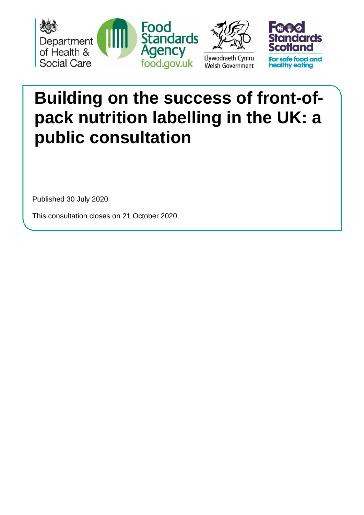





# **Building on the success of front-ofpack nutrition labelling in the UK: a public consultation**

Published 30 July 2020

This consultation closes on 21 October 2020.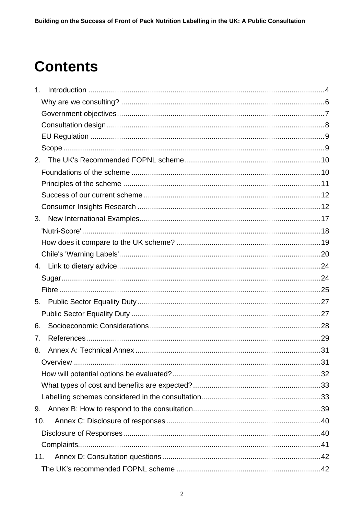# **Contents**

| 1 <sub>1</sub> |  |
|----------------|--|
|                |  |
|                |  |
|                |  |
|                |  |
|                |  |
|                |  |
|                |  |
|                |  |
|                |  |
|                |  |
|                |  |
|                |  |
|                |  |
|                |  |
|                |  |
|                |  |
|                |  |
| 5.             |  |
|                |  |
| 6.             |  |
| 7.             |  |
| 8.             |  |
|                |  |
|                |  |
|                |  |
|                |  |
| 9.             |  |
| 10.            |  |
|                |  |
|                |  |
| 11.            |  |
|                |  |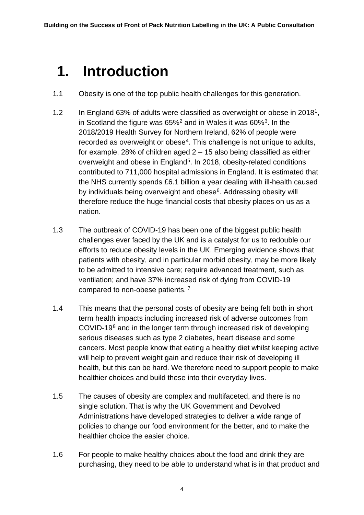# <span id="page-3-0"></span>**1. Introduction**

- 1.1 Obesity is one of the top public health challenges for this generation.
- [1](#page-28-1).2 In England 63% of adults were classified as overweight or obese in 2018<sup>1</sup>, in Scotland the figure was  $65\%^2$  $65\%^2$  and in Wales it was  $60\%^3$ . In the 2018/2019 Health Survey for Northern Ireland, 62% of people were recorded as overweight or obese<sup>4</sup>. This challenge is not unique to adults, for example, 28% of children aged  $2 - 15$  also being classified as either overweight and obese in England<sup>[5](#page-28-5)</sup>. In 2018, obesity-related conditions contributed to 711,000 hospital admissions in England. It is estimated that the NHS currently spends £6.1 billion a year dealing with ill-health caused by individuals being overweight and obese<sup>[6](#page-28-6)</sup>. Addressing obesity will therefore reduce the huge financial costs that obesity places on us as a nation.
- 1.3 The outbreak of COVID-19 has been one of the biggest public health challenges ever faced by the UK and is a catalyst for us to redouble our efforts to reduce obesity levels in the UK. Emerging evidence shows that patients with obesity, and in particular morbid obesity, may be more likely to be admitted to intensive care; require advanced treatment, such as ventilation; and have 37% increased risk of dying from COVID-19 compared to non-obese patients. [7](#page-28-7)
- 1.4 This means that the personal costs of obesity are being felt both in short term health impacts including increased risk of adverse outcomes from COVID-19[8](#page-28-8) and in the longer term through increased risk of developing serious diseases such as type 2 diabetes, heart disease and some cancers. Most people know that eating a healthy diet whilst keeping active will help to prevent weight gain and reduce their risk of developing ill health, but this can be hard. We therefore need to support people to make healthier choices and build these into their everyday lives.
- 1.5 The causes of obesity are complex and multifaceted, and there is no single solution. That is why the UK Government and Devolved Administrations have developed strategies to deliver a wide range of policies to change our food environment for the better, and to make the healthier choice the easier choice.
- 1.6 For people to make healthy choices about the food and drink they are purchasing, they need to be able to understand what is in that product and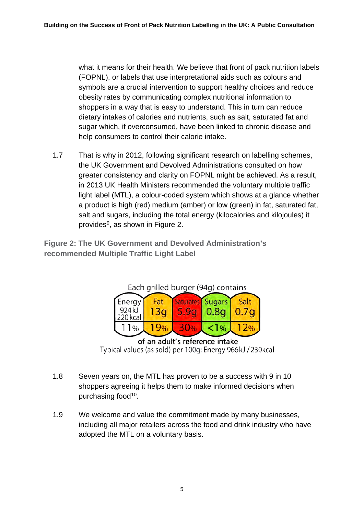what it means for their health. We believe that front of pack nutrition labels (FOPNL), or labels that use interpretational aids such as colours and symbols are a crucial intervention to support healthy choices and reduce obesity rates by communicating complex nutritional information to shoppers in a way that is easy to understand. This in turn can reduce dietary intakes of calories and nutrients, such as salt, saturated fat and sugar which, if overconsumed, have been linked to chronic disease and help consumers to control their calorie intake.

1.7 That is why in 2012, following significant research on labelling schemes, the UK Government and Devolved Administrations consulted on how greater consistency and clarity on FOPNL might be achieved. As a result, in 2013 UK Health Ministers recommended the voluntary multiple traffic light label (MTL), a colour-coded system which shows at a glance whether a product is high (red) medium (amber) or low (green) in fat, saturated fat, salt and sugars, including the total energy (kilocalories and kilojoules) it provides[9](#page-28-9), as shown in Figure 2.

**Figure 2: The UK Government and Devolved Administration's recommended Multiple Traffic Light Label**



of an adult's reference intake Typical values (as sold) per 100g: Energy 966kJ / 230kcal

- 1.8 Seven years on, the MTL has proven to be a success with 9 in 10 shoppers agreeing it helps them to make informed decisions when purchasing food<sup>10</sup>.
- 1.9 We welcome and value the commitment made by many businesses, including all major retailers across the food and drink industry who have adopted the MTL on a voluntary basis.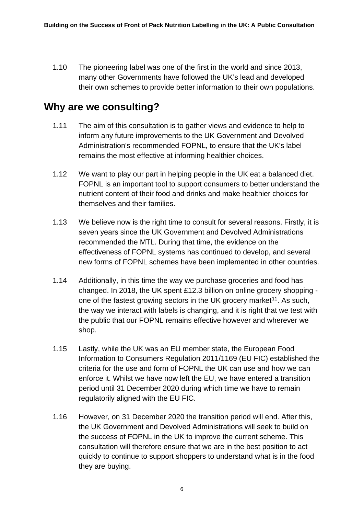1.10 The pioneering label was one of the first in the world and since 2013, many other Governments have followed the UK's lead and developed their own schemes to provide better information to their own populations.

## <span id="page-5-0"></span>**Why are we consulting?**

- 1.11 The aim of this consultation is to gather views and evidence to help to inform any future improvements to the UK Government and Devolved Administration's recommended FOPNL, to ensure that the UK's label remains the most effective at informing healthier choices.
- 1.12 We want to play our part in helping people in the UK eat a balanced diet. FOPNL is an important tool to support consumers to better understand the nutrient content of their food and drinks and make healthier choices for themselves and their families.
- 1.13 We believe now is the right time to consult for several reasons. Firstly, it is seven years since the UK Government and Devolved Administrations recommended the MTL. During that time, the evidence on the effectiveness of FOPNL systems has continued to develop, and several new forms of FOPNL schemes have been implemented in other countries.
- 1.14 Additionally, in this time the way we purchase groceries and food has changed. In 2018, the UK spent £12.3 billion on online grocery shopping one of the fastest growing sectors in the UK grocery market<sup>11</sup>. As such, the way we interact with labels is changing, and it is right that we test with the public that our FOPNL remains effective however and wherever we shop.
- 1.15 Lastly, while the UK was an EU member state, the European Food Information to Consumers Regulation 2011/1169 (EU FIC) established the criteria for the use and form of FOPNL the UK can use and how we can enforce it. Whilst we have now left the EU, we have entered a transition period until 31 December 2020 during which time we have to remain regulatorily aligned with the EU FIC.
- 1.16 However, on 31 December 2020 the transition period will end. After this, the UK Government and Devolved Administrations will seek to build on the success of FOPNL in the UK to improve the current scheme. This consultation will therefore ensure that we are in the best position to act quickly to continue to support shoppers to understand what is in the food they are buying.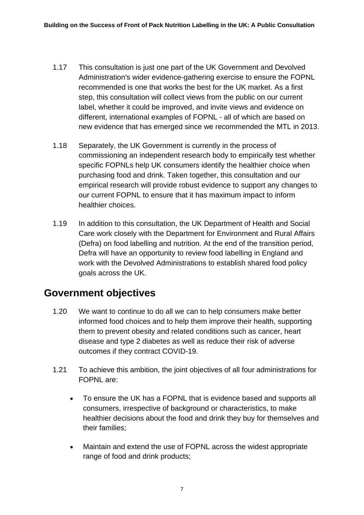- 1.17 This consultation is just one part of the UK Government and Devolved Administration's wider evidence-gathering exercise to ensure the FOPNL recommended is one that works the best for the UK market. As a first step, this consultation will collect views from the public on our current label, whether it could be improved, and invite views and evidence on different, international examples of FOPNL - all of which are based on new evidence that has emerged since we recommended the MTL in 2013.
- 1.18 Separately, the UK Government is currently in the process of commissioning an independent research body to empirically test whether specific FOPNLs help UK consumers identify the healthier choice when purchasing food and drink. Taken together, this consultation and our empirical research will provide robust evidence to support any changes to our current FOPNL to ensure that it has maximum impact to inform healthier choices.
- 1.19 In addition to this consultation, the UK Department of Health and Social Care work closely with the Department for Environment and Rural Affairs (Defra) on food labelling and nutrition. At the end of the transition period, Defra will have an opportunity to review food labelling in England and work with the Devolved Administrations to establish shared food policy goals across the UK.

# <span id="page-6-0"></span>**Government objectives**

- 1.20 We want to continue to do all we can to help consumers make better informed food choices and to help them improve their health, supporting them to prevent obesity and related conditions such as cancer, heart disease and type 2 diabetes as well as reduce their risk of adverse outcomes if they contract COVID-19.
- 1.21 To achieve this ambition, the joint objectives of all four administrations for FOPNL are:
	- To ensure the UK has a FOPNL that is evidence based and supports all consumers, irrespective of background or characteristics, to make healthier decisions about the food and drink they buy for themselves and their families;
	- Maintain and extend the use of FOPNL across the widest appropriate range of food and drink products;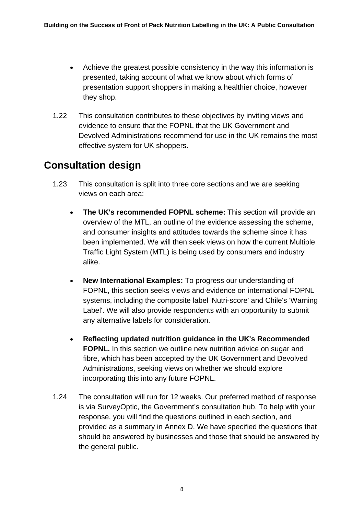- Achieve the greatest possible consistency in the way this information is presented, taking account of what we know about which forms of presentation support shoppers in making a healthier choice, however they shop.
- 1.22 This consultation contributes to these objectives by inviting views and evidence to ensure that the FOPNL that the UK Government and Devolved Administrations recommend for use in the UK remains the most effective system for UK shoppers.

# <span id="page-7-0"></span>**Consultation design**

- 1.23 This consultation is split into three core sections and we are seeking views on each area:
	- **The UK's recommended FOPNL scheme:** This section will provide an overview of the MTL, an outline of the evidence assessing the scheme, and consumer insights and attitudes towards the scheme since it has been implemented. We will then seek views on how the current Multiple Traffic Light System (MTL) is being used by consumers and industry alike.
	- **New International Examples:** To progress our understanding of FOPNL, this section seeks views and evidence on international FOPNL systems, including the composite label 'Nutri-score' and Chile's 'Warning Label'. We will also provide respondents with an opportunity to submit any alternative labels for consideration.
	- **Reflecting updated nutrition guidance in the UK's Recommended FOPNL.** In this section we outline new nutrition advice on sugar and fibre, which has been accepted by the UK Government and Devolved Administrations, seeking views on whether we should explore incorporating this into any future FOPNL.
- 1.24 The consultation will run for 12 weeks. Our preferred method of response is via SurveyOptic, the Government's consultation hub. To help with your response, you will find the questions outlined in each section, and provided as a summary in Annex D. We have specified the questions that should be answered by businesses and those that should be answered by the general public.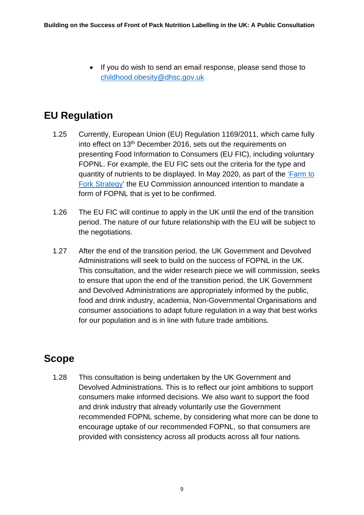• If you do wish to send an email response, please send those to [childhood.obesity@dhsc.gov.uk](mailto:childhood.obesity@dhsc.gov.uk)

# <span id="page-8-0"></span>**EU Regulation**

- 1.25 Currently, European Union (EU) Regulation 1169/2011, which came fully into effect on 13th December 2016, sets out the requirements on presenting Food Information to Consumers (EU FIC), including voluntary FOPNL. For example, the EU FIC sets out the criteria for the type and quantity of nutrients to be displayed. In May 2020, as part of the ['Farm to](https://ec.europa.eu/food/sites/food/files/safety/docs/labelling-nutrition_fop-report-2020-207_en.pdf)  [Fork Strategy'](https://ec.europa.eu/food/sites/food/files/safety/docs/labelling-nutrition_fop-report-2020-207_en.pdf) the EU Commission announced intention to mandate a form of FOPNL that is yet to be confirmed.
- 1.26 The EU FIC will continue to apply in the UK until the end of the transition period. The nature of our future relationship with the EU will be subject to the negotiations.
- 1.27 After the end of the transition period, the UK Government and Devolved Administrations will seek to build on the success of FOPNL in the UK. This consultation, and the wider research piece we will commission, seeks to ensure that upon the end of the transition period, the UK Government and Devolved Administrations are appropriately informed by the public, food and drink industry, academia, Non-Governmental Organisations and consumer associations to adapt future regulation in a way that best works for our population and is in line with future trade ambitions.

# <span id="page-8-1"></span>**Scope**

1.28 This consultation is being undertaken by the UK Government and Devolved Administrations. This is to reflect our joint ambitions to support consumers make informed decisions. We also want to support the food and drink industry that already voluntarily use the Government recommended FOPNL scheme, by considering what more can be done to encourage uptake of our recommended FOPNL, so that consumers are provided with consistency across all products across all four nations.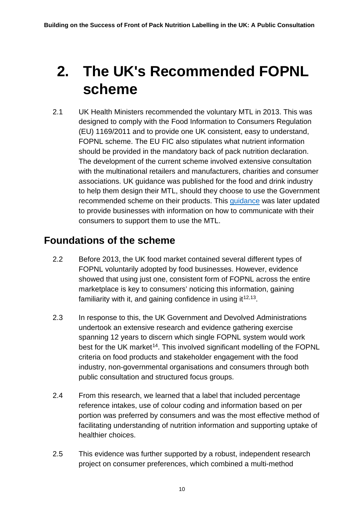# <span id="page-9-0"></span>**2. The UK's Recommended FOPNL scheme**

2.1 UK Health Ministers recommended the voluntary MTL in 2013. This was designed to comply with the Food Information to Consumers Regulation (EU) 1169/2011 and to provide one UK consistent, easy to understand, FOPNL scheme. The EU FIC also stipulates what nutrient information should be provided in the mandatory back of pack nutrition declaration. The development of the current scheme involved extensive consultation with the multinational retailers and manufacturers, charities and consumer associations. UK guidance was published for the food and drink industry to help them design their MTL, should they choose to use the Government recommended scheme on their products. This [guidance](https://assets.publishing.service.gov.uk/government/uploads/system/uploads/attachment_data/file/595961/Nutrition_Technical_Guidance.pdf) was later updated to provide businesses with information on how to communicate with their consumers to support them to use the MTL.

# <span id="page-9-1"></span>**Foundations of the scheme**

- 2.2 Before 2013, the UK food market contained several different types of FOPNL voluntarily adopted by food businesses. However, evidence showed that using just one, consistent form of FOPNL across the entire marketplace is key to consumers' noticing this information, gaining familiarity with it, and gaining confidence in using it  $12,13$  $12,13$ .
- 2.3 In response to this, the UK Government and Devolved Administrations undertook an extensive research and evidence gathering exercise spanning 12 years to discern which single FOPNL system would work best for the UK market<sup>[14](#page-28-14)</sup>. This involved significant modelling of the FOPNL criteria on food products and stakeholder engagement with the food industry, non-governmental organisations and consumers through both public consultation and structured focus groups.
- 2.4 From this research, we learned that a label that included percentage reference intakes, use of colour coding and information based on per portion was preferred by consumers and was the most effective method of facilitating understanding of nutrition information and supporting uptake of healthier choices.
- 2.5 This evidence was further supported by a robust, independent research project on consumer preferences, which combined a multi-method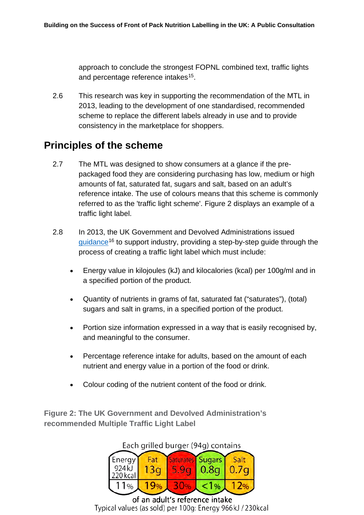approach to conclude the strongest FOPNL combined text, traffic lights and percentage reference intakes<sup>15</sup>.

2.6 This research was key in supporting the recommendation of the MTL in 2013, leading to the development of one standardised, recommended scheme to replace the different labels already in use and to provide consistency in the marketplace for shoppers.

# <span id="page-10-0"></span>**Principles of the scheme**

- 2.7 The MTL was designed to show consumers at a glance if the prepackaged food they are considering purchasing has low, medium or high amounts of fat, saturated fat, sugars and salt, based on an adult's reference intake. The use of colours means that this scheme is commonly referred to as the 'traffic light scheme'. Figure 2 displays an example of a traffic light label.
- 2.8 In 2013, the UK Government and Devolved Administrations issued [guidance](https://assets.publishing.service.gov.uk/government/uploads/system/uploads/attachment_data/file/595961/Nutrition_Technical_Guidance.pdf)<sup>[16](#page-28-16)</sup> to support industry, providing a step-by-step guide through the process of creating a traffic light label which must include:
	- Energy value in kilojoules (kJ) and kilocalories (kcal) per 100g/ml and in a specified portion of the product.
	- Quantity of nutrients in grams of fat, saturated fat ("saturates"), (total) sugars and salt in grams, in a specified portion of the product.
	- Portion size information expressed in a way that is easily recognised by, and meaningful to the consumer.
	- Percentage reference intake for adults, based on the amount of each nutrient and energy value in a portion of the food or drink.
	- Colour coding of the nutrient content of the food or drink.

**Figure 2: The UK Government and Devolved Administration's recommended Multiple Traffic Light Label**

#### Energy Fat Sugars Salt **Saturates**  $924k$  $13q$ 5.9<sub>a</sub> 0.8a  $0.7<sub>q</sub>$ 220 kcal  $11%$  $19%$ 30%  $1\%$  $12%$

### Each grilled burger (94g) contains

of an adult's reference intake Typical values (as sold) per 100g: Energy 966kJ / 230kcal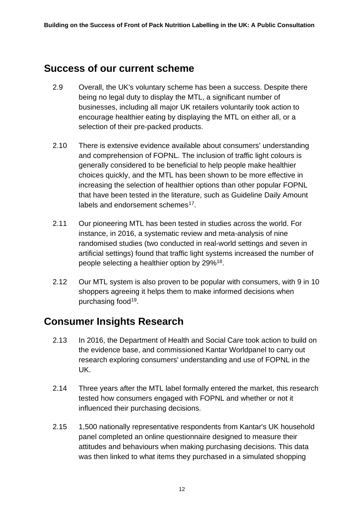## <span id="page-11-0"></span>**Success of our current scheme**

- 2.9 Overall, the UK's voluntary scheme has been a success. Despite there being no legal duty to display the MTL, a significant number of businesses, including all major UK retailers voluntarily took action to encourage healthier eating by displaying the MTL on either all, or a selection of their pre-packed products.
- 2.10 There is extensive evidence available about consumers' understanding and comprehension of FOPNL. The inclusion of traffic light colours is generally considered to be beneficial to help people make healthier choices quickly, and the MTL has been shown to be more effective in increasing the selection of healthier options than other popular FOPNL that have been tested in the literature, such as Guideline Daily Amount labels and endorsement schemes<sup>17</sup>.
- 2.11 Our pioneering MTL has been tested in studies across the world. For instance, in 2016, a systematic review and meta-analysis of nine randomised studies (two conducted in real-world settings and seven in artificial settings) found that traffic light systems increased the number of people selecting a healthier option by 29%[18.](#page-28-18)
- 2.12 Our MTL system is also proven to be popular with consumers, with 9 in 10 shoppers agreeing it helps them to make informed decisions when purchasing food[19.](#page-28-19)

# <span id="page-11-1"></span>**Consumer Insights Research**

- 2.13 In 2016, the Department of Health and Social Care took action to build on the evidence base, and commissioned Kantar Worldpanel to carry out research exploring consumers' understanding and use of FOPNL in the UK.
- 2.14 Three years after the MTL label formally entered the market, this research tested how consumers engaged with FOPNL and whether or not it influenced their purchasing decisions.
- 2.15 1,500 nationally representative respondents from Kantar's UK household panel completed an online questionnaire designed to measure their attitudes and behaviours when making purchasing decisions. This data was then linked to what items they purchased in a simulated shopping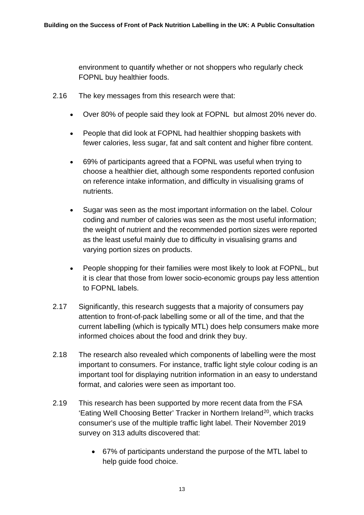environment to quantify whether or not shoppers who regularly check FOPNL buy healthier foods.

- 2.16 The key messages from this research were that:
	- Over 80% of people said they look at FOPNL but almost 20% never do.
	- People that did look at FOPNL had healthier shopping baskets with fewer calories, less sugar, fat and salt content and higher fibre content.
	- 69% of participants agreed that a FOPNL was useful when trying to choose a healthier diet, although some respondents reported confusion on reference intake information, and difficulty in visualising grams of nutrients.
	- Sugar was seen as the most important information on the label. Colour coding and number of calories was seen as the most useful information; the weight of nutrient and the recommended portion sizes were reported as the least useful mainly due to difficulty in visualising grams and varying portion sizes on products.
	- People shopping for their families were most likely to look at FOPNL, but it is clear that those from lower socio-economic groups pay less attention to FOPNL labels.
- 2.17 Significantly, this research suggests that a majority of consumers pay attention to front-of-pack labelling some or all of the time, and that the current labelling (which is typically MTL) does help consumers make more informed choices about the food and drink they buy.
- 2.18 The research also revealed which components of labelling were the most important to consumers. For instance, traffic light style colour coding is an important tool for displaying nutrition information in an easy to understand format, and calories were seen as important too.
- 2.19 This research has been supported by more recent data from the FSA 'Eating Well Choosing Better' Tracker in Northern Ireland<sup>[20](#page-28-20)</sup>, which tracks consumer's use of the multiple traffic light label. Their November 2019 survey on 313 adults discovered that:
	- 67% of participants understand the purpose of the MTL label to help guide food choice.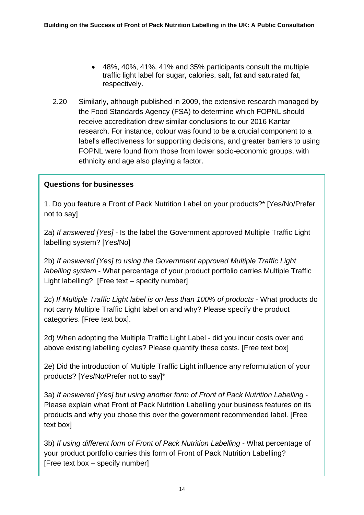- 48%, 40%, 41%, 41% and 35% participants consult the multiple traffic light label for sugar, calories, salt, fat and saturated fat, respectively.
- 2.20 Similarly, although published in 2009, the extensive research managed by the Food Standards Agency (FSA) to determine which FOPNL should receive accreditation drew similar conclusions to our 2016 Kantar research. For instance, colour was found to be a crucial component to a label's effectiveness for supporting decisions, and greater barriers to using FOPNL were found from those from lower socio-economic groups, with ethnicity and age also playing a factor.

### **Questions for businesses**

1. Do you feature a Front of Pack Nutrition Label on your products?\* [Yes/No/Prefer not to say]

2a) *If answered [Yes]* - Is the label the Government approved Multiple Traffic Light labelling system? [Yes/No]

2b) *If answered [Yes] to using the Government approved Multiple Traffic Light labelling system* - What percentage of your product portfolio carries Multiple Traffic Light labelling? [Free text – specify number]

2c) *If Multiple Traffic Light label is on less than 100% of products -* What products do not carry Multiple Traffic Light label on and why? Please specify the product categories. [Free text box].

2d) When adopting the Multiple Traffic Light Label - did you incur costs over and above existing labelling cycles? Please quantify these costs. [Free text box]

2e) Did the introduction of Multiple Traffic Light influence any reformulation of your products? [Yes/No/Prefer not to say]\*

3a) *If answered [Yes] but using another form of Front of Pack Nutrition Labelling* - Please explain what Front of Pack Nutrition Labelling your business features on its products and why you chose this over the government recommended label. [Free text box]

3b) *If using different form of Front of Pack Nutrition Labelling -* What percentage of your product portfolio carries this form of Front of Pack Nutrition Labelling? [Free text box – specify number]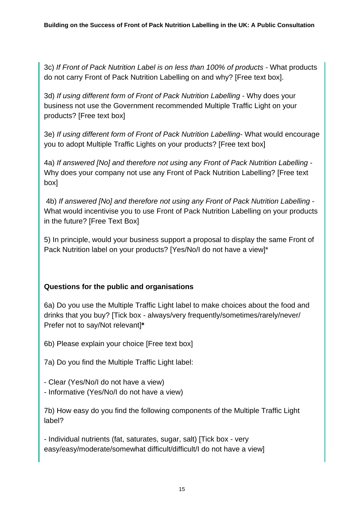3c) *If Front of Pack Nutrition Label is on less than 100% of products -* What products do not carry Front of Pack Nutrition Labelling on and why? [Free text box].

3d) *If using different form of Front of Pack Nutrition Labelling* - Why does your business not use the Government recommended Multiple Traffic Light on your products? [Free text box]

3e) *If using different form of Front of Pack Nutrition Labelling*- What would encourage you to adopt Multiple Traffic Lights on your products? [Free text box]

4a) *If answered [No] and therefore not using any Front of Pack Nutrition Labelling* - Why does your company not use any Front of Pack Nutrition Labelling? [Free text box]

4b) *If answered [No] and therefore not using any Front of Pack Nutrition Labelling* - What would incentivise you to use Front of Pack Nutrition Labelling on your products in the future? [Free Text Box]

5) In principle, would your business support a proposal to display the same Front of Pack Nutrition label on your products? [Yes/No/I do not have a view]\*

### **Questions for the public and organisations**

6a) Do you use the Multiple Traffic Light label to make choices about the food and drinks that you buy? [Tick box - always/very frequently/sometimes/rarely/never/ Prefer not to say/Not relevant]**\***

6b) Please explain your choice [Free text box]

7a) Do you find the Multiple Traffic Light label:

- Clear (Yes/No/I do not have a view)
- Informative (Yes/No/I do not have a view)

7b) How easy do you find the following components of the Multiple Traffic Light label?

- Individual nutrients (fat, saturates, sugar, salt) [Tick box - very easy/easy/moderate/somewhat difficult/difficult/I do not have a view]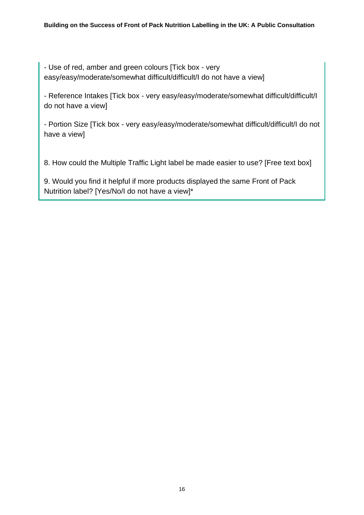- Use of red, amber and green colours [Tick box - very easy/easy/moderate/somewhat difficult/difficult/I do not have a view]

- Reference Intakes [Tick box - very easy/easy/moderate/somewhat difficult/difficult/I do not have a view]

- Portion Size [Tick box - very easy/easy/moderate/somewhat difficult/difficult/I do not have a view]

8. How could the Multiple Traffic Light label be made easier to use? [Free text box]

9. Would you find it helpful if more products displayed the same Front of Pack Nutrition label? [Yes/No/I do not have a view]\*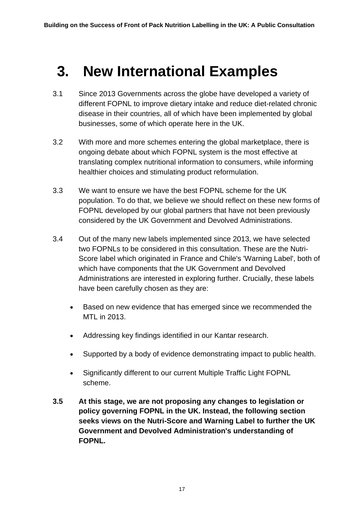# <span id="page-16-0"></span>**3. New International Examples**

- 3.1 Since 2013 Governments across the globe have developed a variety of different FOPNL to improve dietary intake and reduce diet-related chronic disease in their countries, all of which have been implemented by global businesses, some of which operate here in the UK.
- 3.2 With more and more schemes entering the global marketplace, there is ongoing debate about which FOPNL system is the most effective at translating complex nutritional information to consumers, while informing healthier choices and stimulating product reformulation.
- 3.3 We want to ensure we have the best FOPNL scheme for the UK population. To do that, we believe we should reflect on these new forms of FOPNL developed by our global partners that have not been previously considered by the UK Government and Devolved Administrations.
- 3.4 Out of the many new labels implemented since 2013, we have selected two FOPNLs to be considered in this consultation. These are the Nutri-Score label which originated in France and Chile's 'Warning Label', both of which have components that the UK Government and Devolved Administrations are interested in exploring further. Crucially, these labels have been carefully chosen as they are:
	- Based on new evidence that has emerged since we recommended the MTL in 2013.
	- Addressing key findings identified in our Kantar research.
	- Supported by a body of evidence demonstrating impact to public health.
	- Significantly different to our current Multiple Traffic Light FOPNL scheme.
- **3.5 At this stage, we are not proposing any changes to legislation or policy governing FOPNL in the UK. Instead, the following section seeks views on the Nutri-Score and Warning Label to further the UK Government and Devolved Administration's understanding of FOPNL.**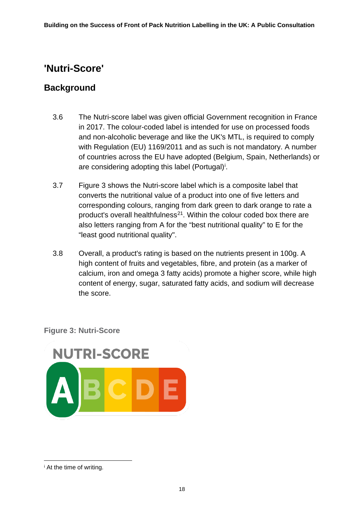# <span id="page-17-0"></span>**'Nutri-Score'**

### **Background**

- 3.6 The Nutri-score label was given official Government recognition in France in 2017. The colour-coded label is intended for use on processed foods and non-alcoholic beverage and like the UK's MTL, is required to comply with Regulation (EU) 1169/2011 and as such is not mandatory. A number of countries across the EU have adopted (Belgium, Spain, Netherlands) or are cons[i](#page-17-1)dering adopting this label (Portugal)<sup>i</sup>.
- 3.7 Figure 3 shows the Nutri-score label which is a composite label that converts the nutritional value of a product into one of five letters and corresponding colours, ranging from dark green to dark orange to rate a product's overall healthfulness<sup>[21](#page-28-21)</sup>. Within the colour coded box there are also letters ranging from A for the "best nutritional quality" to E for the "least good nutritional quality".
- 3.8 Overall, a product's rating is based on the nutrients present in 100g. A high content of fruits and vegetables, fibre, and protein (as a marker of calcium, iron and omega 3 fatty acids) promote a higher score, while high content of energy, sugar, saturated fatty acids, and sodium will decrease the score.

**Figure 3: Nutri-Score**



<span id="page-17-1"></span><sup>i</sup> At the time of writing.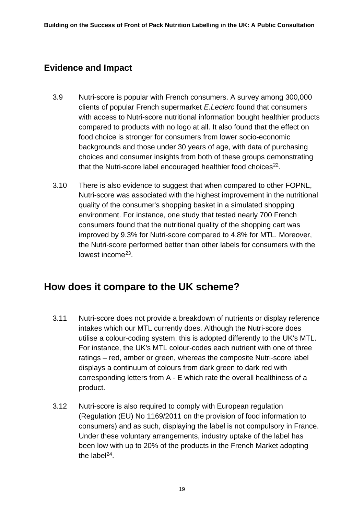## **Evidence and Impact**

- 3.9 Nutri-score is popular with French consumers. A survey among 300,000 clients of popular French supermarket *E.Leclerc* found that consumers with access to Nutri-score nutritional information bought healthier products compared to products with no logo at all. It also found that the effect on food choice is stronger for consumers from lower socio-economic backgrounds and those under 30 years of age, with data of purchasing choices and consumer insights from both of these groups demonstrating that the Nutri-score label encouraged healthier food choices<sup>22</sup>.
- 3.10 There is also evidence to suggest that when compared to other FOPNL, Nutri-score was associated with the highest improvement in the nutritional quality of the consumer's shopping basket in a simulated shopping environment. For instance, one study that tested nearly 700 French consumers found that the nutritional quality of the shopping cart was improved by 9.3% for Nutri-score compared to 4.8% for MTL. Moreover, the Nutri-score performed better than other labels for consumers with the lowest income<sup>[23](#page-28-23)</sup>.

# <span id="page-18-0"></span>**How does it compare to the UK scheme?**

- 3.11 Nutri-score does not provide a breakdown of nutrients or display reference intakes which our MTL currently does. Although the Nutri-score does utilise a colour-coding system, this is adopted differently to the UK's MTL. For instance, the UK's MTL colour-codes each nutrient with one of three ratings – red, amber or green, whereas the composite Nutri-score label displays a continuum of colours from dark green to dark red with corresponding letters from A - E which rate the overall healthiness of a product.
- 3.12 Nutri-score is also required to comply with European regulation (Regulation (EU) No 1169/2011 on the provision of food information to consumers) and as such, displaying the label is not compulsory in France. Under these voluntary arrangements, industry uptake of the label has been low with up to 20% of the products in the French Market adopting the label $^{24}$  $^{24}$  $^{24}$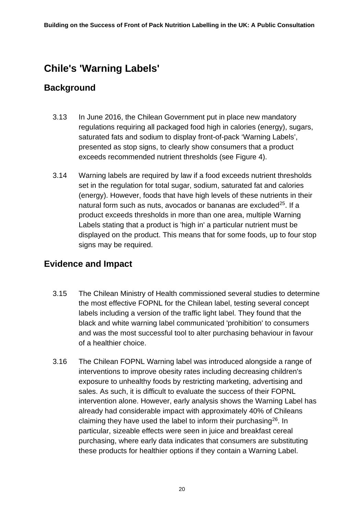# <span id="page-19-0"></span>**Chile's 'Warning Labels'**

### **Background**

- 3.13 In June 2016, the Chilean Government put in place new mandatory regulations requiring all packaged food high in calories (energy), sugars, saturated fats and sodium to display front-of-pack 'Warning Labels', presented as stop signs, to clearly show consumers that a product exceeds recommended nutrient thresholds (see Figure 4).
- 3.14 Warning labels are required by law if a food exceeds nutrient thresholds set in the regulation for total sugar, sodium, saturated fat and calories (energy). However, foods that have high levels of these nutrients in their natural form such as nuts, avocados or bananas are excluded<sup>25</sup>. If a product exceeds thresholds in more than one area, multiple Warning Labels stating that a product is 'high in' a particular nutrient must be displayed on the product. This means that for some foods, up to four stop signs may be required.

### **Evidence and Impact**

- 3.15 The Chilean Ministry of Health commissioned several studies to determine the most effective FOPNL for the Chilean label, testing several concept labels including a version of the traffic light label. They found that the black and white warning label communicated 'prohibition' to consumers and was the most successful tool to alter purchasing behaviour in favour of a healthier choice.
- 3.16 The Chilean FOPNL Warning label was introduced alongside a range of interventions to improve obesity rates including decreasing children's exposure to unhealthy foods by restricting marketing, advertising and sales. As such, it is difficult to evaluate the success of their FOPNL intervention alone. However, early analysis shows the Warning Label has already had considerable impact with approximately 40% of Chileans claiming they have used the label to inform their purchasing  $26$ . In particular, sizeable effects were seen in juice and breakfast cereal purchasing, where early data indicates that consumers are substituting these products for healthier options if they contain a Warning Label.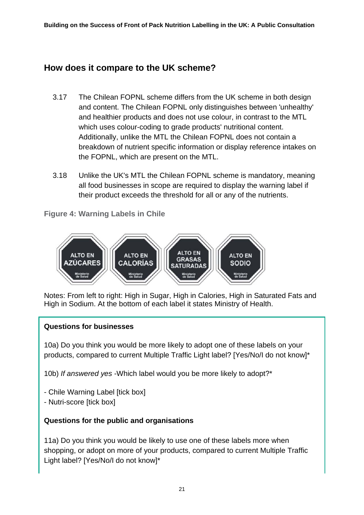## **How does it compare to the UK scheme?**

- 3.17 The Chilean FOPNL scheme differs from the UK scheme in both design and content. The Chilean FOPNL only distinguishes between 'unhealthy' and healthier products and does not use colour, in contrast to the MTL which uses colour-coding to grade products' nutritional content. Additionally, unlike the MTL the Chilean FOPNL does not contain a breakdown of nutrient specific information or display reference intakes on the FOPNL, which are present on the MTL.
- 3.18 Unlike the UK's MTL the Chilean FOPNL scheme is mandatory, meaning all food businesses in scope are required to display the warning label if their product exceeds the threshold for all or any of the nutrients.
- **Figure 4: Warning Labels in Chile**



Notes: From left to right: High in Sugar, High in Calories, High in Saturated Fats and High in Sodium. At the bottom of each label it states Ministry of Health.

### **Questions for businesses**

10a) Do you think you would be more likely to adopt one of these labels on your products, compared to current Multiple Traffic Light label? [Yes/No/I do not know]\*

10b) *If answered yes* -Which label would you be more likely to adopt?\*

- Chile Warning Label [tick box]
- Nutri-score [tick box]

### **Questions for the public and organisations**

11a) Do you think you would be likely to use one of these labels more when shopping, or adopt on more of your products, compared to current Multiple Traffic Light label? [Yes/No/I do not know]\*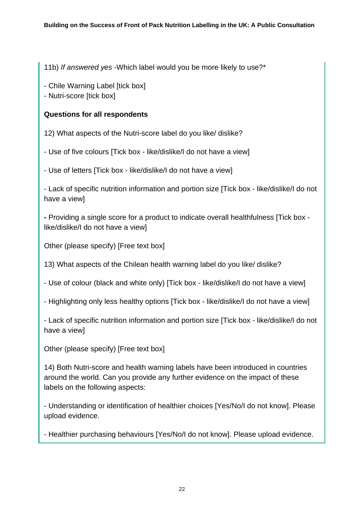11b) *If answered yes* -Which label would you be more likely to use?\*

- Chile Warning Label [tick box]

- Nutri-score [tick box]

### **Questions for all respondents**

12) What aspects of the Nutri-score label do you like/ dislike?

- Use of five colours [Tick box - like/dislike/I do not have a view]

- Use of letters [Tick box - like/dislike/I do not have a view]

- Lack of specific nutrition information and portion size [Tick box - like/dislike/I do not have a view]

**-** Providing a single score for a product to indicate overall healthfulness [Tick box like/dislike/I do not have a view]

Other (please specify) [Free text box]

13) What aspects of the Chilean health warning label do you like/ dislike?

- Use of colour (black and white only) [Tick box - like/dislike/I do not have a view]

- Highlighting only less healthy options [Tick box - like/dislike/I do not have a view]

- Lack of specific nutrition information and portion size [Tick box - like/dislike/I do not have a view]

Other (please specify) [Free text box]

14) Both Nutri-score and health warning labels have been introduced in countries around the world. Can you provide any further evidence on the impact of these labels on the following aspects:

- Understanding or identification of healthier choices [Yes/No/I do not know]. Please upload evidence.

- Healthier purchasing behaviours [Yes/No/I do not know]. Please upload evidence.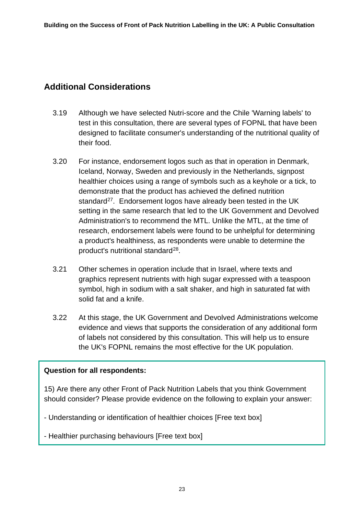### **Additional Considerations**

- 3.19 Although we have selected Nutri-score and the Chile 'Warning labels' to test in this consultation, there are several types of FOPNL that have been designed to facilitate consumer's understanding of the nutritional quality of their food.
- 3.20 For instance, endorsement logos such as that in operation in Denmark, Iceland, Norway, Sweden and previously in the Netherlands, signpost healthier choices using a range of symbols such as a keyhole or a tick, to demonstrate that the product has achieved the defined nutrition standard<sup>27</sup>. Endorsement logos have already been tested in the UK setting in the same research that led to the UK Government and Devolved Administration's to recommend the MTL. Unlike the MTL, at the time of research, endorsement labels were found to be unhelpful for determining a product's healthiness, as respondents were unable to determine the product's nutritional standard<sup>28</sup>.
- 3.21 Other schemes in operation include that in Israel, where texts and graphics represent nutrients with high sugar expressed with a teaspoon symbol, high in sodium with a salt shaker, and high in saturated fat with solid fat and a knife.
- 3.22 At this stage, the UK Government and Devolved Administrations welcome evidence and views that supports the consideration of any additional form of labels not considered by this consultation. This will help us to ensure the UK's FOPNL remains the most effective for the UK population.

### **Question for all respondents:**

15) Are there any other Front of Pack Nutrition Labels that you think Government should consider? Please provide evidence on the following to explain your answer:

- Understanding or identification of healthier choices [Free text box]

- Healthier purchasing behaviours [Free text box]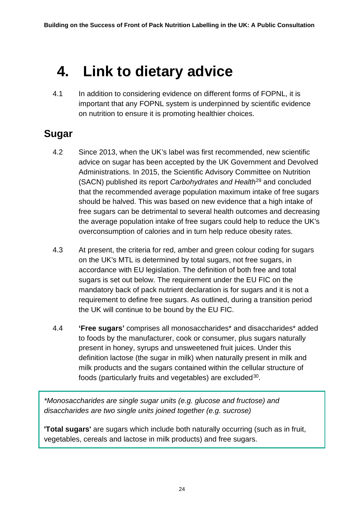# <span id="page-23-0"></span>**4. Link to dietary advice**

4.1 In addition to considering evidence on different forms of FOPNL, it is important that any FOPNL system is underpinned by scientific evidence on nutrition to ensure it is promoting healthier choices.

# <span id="page-23-1"></span>**Sugar**

- 4.2 Since 2013, when the UK's label was first recommended, new scientific advice on sugar has been accepted by the UK Government and Devolved Administrations. In 2015, the Scientific Advisory Committee on Nutrition (SACN) published its report *Carbohydrates and Health*[29](#page-28-29) and concluded that the recommended average population maximum intake of free sugars should be halved. This was based on new evidence that a high intake of free sugars can be detrimental to several health outcomes and decreasing the average population intake of free sugars could help to reduce the UK's overconsumption of calories and in turn help reduce obesity rates.
- 4.3 At present, the criteria for red, amber and green colour coding for sugars on the UK's MTL is determined by total sugars, not free sugars, in accordance with EU legislation. The definition of both free and total sugars is set out below. The requirement under the EU FIC on the mandatory back of pack nutrient declaration is for sugars and it is not a requirement to define free sugars. As outlined, during a transition period the UK will continue to be bound by the EU FIC.
- 4.4 **'Free sugars'** comprises all monosaccharides\* and disaccharides\* added to foods by the manufacturer, cook or consumer, plus sugars naturally present in honey, syrups and unsweetened fruit juices. Under this definition lactose (the sugar in milk) when naturally present in milk and milk products and the sugars contained within the cellular structure of foods (particularly fruits and vegetables) are excluded<sup>[30](#page-28-30)</sup>.

*\*Monosaccharides are single sugar units (e.g. glucose and fructose) and disaccharides are two single units joined together (e.g. sucrose)*

**'Total sugars'** are sugars which include both naturally occurring (such as in fruit, vegetables, cereals and lactose in milk products) and free sugars.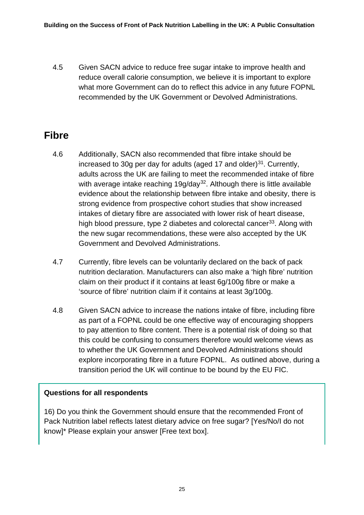4.5 Given SACN advice to reduce free sugar intake to improve health and reduce overall calorie consumption, we believe it is important to explore what more Government can do to reflect this advice in any future FOPNL recommended by the UK Government or Devolved Administrations.

# <span id="page-24-0"></span>**Fibre**

- 4.6 Additionally, SACN also recommended that fibre intake should be increased to 30g per day for adults (aged 17 and older) $31$ . Currently, adults across the UK are failing to meet the recommended intake of fibre with average intake reaching  $19q/day<sup>32</sup>$ . Although there is little available evidence about the relationship between fibre intake and obesity, there is strong evidence from prospective cohort studies that show increased intakes of dietary fibre are associated with lower risk of heart disease, high blood pressure, type 2 diabetes and colorectal cancer<sup>[33](#page-28-33)</sup>. Along with the new sugar recommendations, these were also accepted by the UK Government and Devolved Administrations.
- 4.7 Currently, fibre levels can be voluntarily declared on the back of pack nutrition declaration. Manufacturers can also make a 'high fibre' nutrition claim on their product if it contains at least 6g/100g fibre or make a 'source of fibre' nutrition claim if it contains at least 3g/100g.
- 4.8 Given SACN advice to increase the nations intake of fibre, including fibre as part of a FOPNL could be one effective way of encouraging shoppers to pay attention to fibre content. There is a potential risk of doing so that this could be confusing to consumers therefore would welcome views as to whether the UK Government and Devolved Administrations should explore incorporating fibre in a future FOPNL. As outlined above, during a transition period the UK will continue to be bound by the EU FIC.

### **Questions for all respondents**

16) Do you think the Government should ensure that the recommended Front of Pack Nutrition label reflects latest dietary advice on free sugar? [Yes/No/I do not know]\* Please explain your answer [Free text box].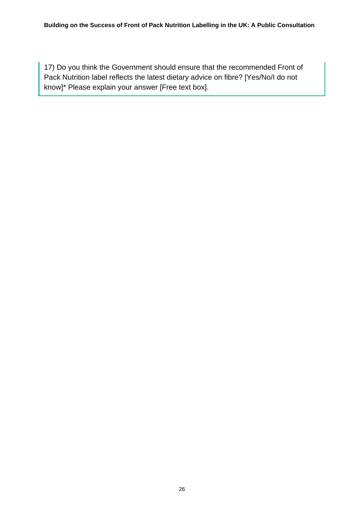17) Do you think the Government should ensure that the recommended Front of Pack Nutrition label reflects the latest dietary advice on fibre? [Yes/No/I do not know]\* Please explain your answer [Free text box].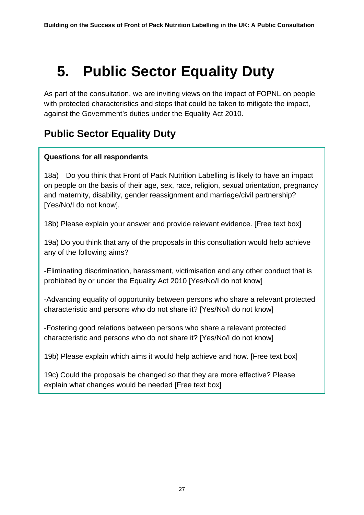# <span id="page-26-0"></span>**5. Public Sector Equality Duty**

As part of the consultation, we are inviting views on the impact of FOPNL on people with protected characteristics and steps that could be taken to mitigate the impact, against the Government's duties under the Equality Act 2010.

# <span id="page-26-1"></span>**Public Sector Equality Duty**

### **Questions for all respondents**

18a) Do you think that Front of Pack Nutrition Labelling is likely to have an impact on people on the basis of their age, sex, race, religion, sexual orientation, pregnancy and maternity, disability, gender reassignment and marriage/civil partnership? [Yes/No/I do not know].

18b) Please explain your answer and provide relevant evidence. [Free text box]

19a) Do you think that any of the proposals in this consultation would help achieve any of the following aims?

-Eliminating discrimination, harassment, victimisation and any other conduct that is prohibited by or under the Equality Act 2010 [Yes/No/I do not know]

-Advancing equality of opportunity between persons who share a relevant protected characteristic and persons who do not share it? [Yes/No/I do not know]

-Fostering good relations between persons who share a relevant protected characteristic and persons who do not share it? [Yes/No/I do not know]

19b) Please explain which aims it would help achieve and how. [Free text box]

19c) Could the proposals be changed so that they are more effective? Please explain what changes would be needed [Free text box]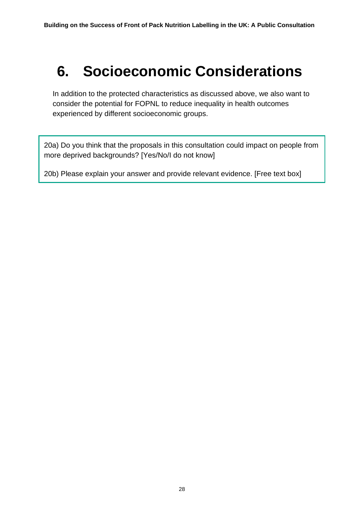# <span id="page-27-0"></span>**6. Socioeconomic Considerations**

In addition to the protected characteristics as discussed above, we also want to consider the potential for FOPNL to reduce inequality in health outcomes experienced by different socioeconomic groups.

20a) Do you think that the proposals in this consultation could impact on people from more deprived backgrounds? [Yes/No/I do not know]

20b) Please explain your answer and provide relevant evidence. [Free text box]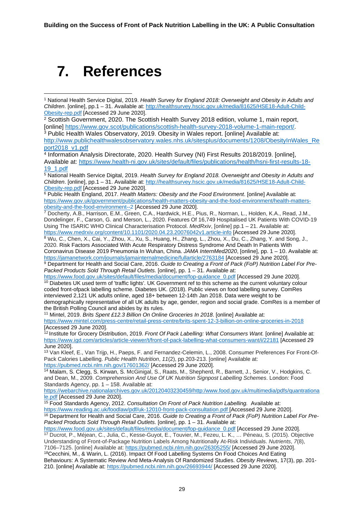# <span id="page-28-0"></span>**7. References**

<span id="page-28-3"></span><sup>3</sup> Public Health Wales Observatory, 2019. Obesity in Wales report. [online] Available at: [http://www.publichealthwalesobservatory.wales.nhs.uk/sitesplus/documents/1208/ObesityInWales\\_Re](http://www.publichealthwalesobservatory.wales.nhs.uk/sitesplus/documents/1208/ObesityInWales_Report2018_v1.pdf) [port2018\\_v1.pdf](http://www.publichealthwalesobservatory.wales.nhs.uk/sitesplus/documents/1208/ObesityInWales_Report2018_v1.pdf)

<span id="page-28-24"></span><span id="page-28-23"></span><span id="page-28-4"></span><sup>4</sup> Information Analysis Directorate, 2020. Health Survey (NI) First Results 2018/2019. [online], Available at: [https://www.health-ni.gov.uk/sites/default/files/publications/health/hsni-first-results-18-](https://www.health-ni.gov.uk/sites/default/files/publications/health/hsni-first-results-18-19_1.pdf) [19\\_1.pdf](https://www.health-ni.gov.uk/sites/default/files/publications/health/hsni-first-results-18-19_1.pdf)

<span id="page-28-6"></span><sup>6</sup> Public Health England, 2017. *Health Matters: Obesity and the Food Environment*. [online] Available at: [https://www.gov.uk/government/publications/health-matters-obesity-and-the-food-environment/health-matters](https://www.gov.uk/government/publications/health-matters-obesity-and-the-food-environment/health-matters-obesity-and-the-food-environment--2)[obesity-and-the-food-environment--2](https://www.gov.uk/government/publications/health-matters-obesity-and-the-food-environment/health-matters-obesity-and-the-food-environment--2) [Accessed 29 June 2020].

<span id="page-28-26"></span><span id="page-28-7"></span><sup>7</sup> Docherty, A.B., Harrison, E.M., Green, C.A., Hardwick, H.E., Pius, R., Norman, L., Holden, K.A., Read, J.M., Dondelinger, F., Carson, G. and Merson, L., 2020. Features Of 16,749 Hospitalised UK Patients With COVID-19 Using The ISARIC WHO Clinical Characterisation Protocol. *MedRxiv*, [online] pp.1 – 21. Available at: <https://www.medrxiv.org/content/10.1101/2020.04.23.20076042v1.article-info> [Accessed 29 June 2020].

<span id="page-28-27"></span><span id="page-28-8"></span>8 Wu, C., Chen, X., Cai, Y., Zhou, X., Xu, S., Huang, H., Zhang, L., Zhou, X., Du, C., Zhang, Y. and Song, J., 2020. Risk Factors Associated With Acute Respiratory Distress Syndrome And Death In Patients With Coronavirus Disease 2019 Pneumonia In Wuhan, China. *JAMA InternMed2020*, [online], pp. 1 – 10. Available at:

<span id="page-28-28"></span><https://jamanetwork.com/journals/jamainternalmedicine/fullarticle/2763184> [Accessed 29 June 2020].

<span id="page-28-9"></span><sup>9</sup> Department for Health and Social Care, 2016. Guide to Creating a Front of Pack (FoP) Nutrition Label For Pre-*Packed Products Sold Through Retail Outlets.* [online], pp. 1 – 31. Available at:

<span id="page-28-30"></span><span id="page-28-29"></span><span id="page-28-10"></span>[https://www.food.gov.uk/sites/default/files/media/document/fop-guidance\\_0.pdf](https://www.food.gov.uk/sites/default/files/media/document/fop-guidance_0.pdf) [Accessed 29 June 2020]. <sup>10</sup> Diabetes UK used term of 'traffic lights'. UK Government ref to this scheme as the current voluntary colour coded front-ofpack labelling scheme. Diabetes UK. (2018). Public views on food labelling survey. ComRes interviewed 2,121 UK adults online, aged 18+ between 12-14th Jan 2018. Data were weight to be demographically representative of all UK adults by age, gender, region and social grade. ComRes is a member of the British Polling Council and abides by its rules.

<sup>11</sup> Mintel, 2019. *Brits Spent £12.3 Billion On Online Groceries In 2018*. [online] Available at:

<span id="page-28-31"></span><span id="page-28-11"></span><https://www.mintel.com/press-centre/retail-press-centre/brits-spent-12-3-billion-on-online-groceries-in-2018> [Accessed 29 June 2020].

<span id="page-28-32"></span><span id="page-28-12"></span><sup>12</sup> Institute for Grocery Distribution, 2019. *Front Of Pack Labelling: What Consumers Want.* [online] Available at: <https://www.igd.com/articles/article-viewer/t/front-of-pack-labelling-what-consumers-want/i/22181> [Accessed 29 June 2020].

<span id="page-28-33"></span><span id="page-28-13"></span><sup>13</sup> Van Kleef, E., Van Trijp, H., Paeps, F. and Fernandez-Celemin, L., 2008. Consumer Preferences For Front-Of-Pack Calories Labelling. *Public Health Nutrition*, *11*(2), pp.203-213. [online] Available at: <https://pubmed.ncbi.nlm.nih.gov/17601362/> [Accessed 29 June 2020].

<span id="page-28-14"></span><sup>14</sup> Malam, S. Clegg, S. Kirwan, S. McGinigal, S., Raats, M., Shepherd, R., Barnett, J., Senior, V., Hodgkins, C. and Dean, M., 2009. *Comprehension And Use Of UK Nutrition Signpost Labelling Schemes*. London: Food Standards Agency, pp. 1 – 158. Available at:

[https://webarchive.nationalarchives.gov.uk/20120403230459/http:/www.food.gov.uk/multimedia/pdfs/quantrationa](https://webarchive.nationalarchives.gov.uk/20120403230459/http:/www.food.gov.uk/multimedia/pdfs/quantrationale.pdf) [le.pdf](https://webarchive.nationalarchives.gov.uk/20120403230459/http:/www.food.gov.uk/multimedia/pdfs/quantrationale.pdf) [Accessed 29 June 2020].

<span id="page-28-15"></span><sup>15</sup> Food Standards Agency, 2012. *Consultation On Front of Pack Nutrition Labelling.* Available at:

<span id="page-28-16"></span><https://www.reading.ac.uk/foodlaw/pdf/uk-12010-front-pack-consultation.pdf> [Accessed 29 June 2020]. <sup>16</sup> Department for Health and Social Care, 2016. *Guide to Creating a Front of Pack (FoP) Nutrition Label For Pre-Packed Products Sold Through Retail Outlets.* [online], pp. 1 – 31. Available at:

[https://www.food.gov.uk/sites/default/files/media/document/fop-guidance\\_0.pdf](https://www.food.gov.uk/sites/default/files/media/document/fop-guidance_0.pdf) [Accessed 29 June 2020].

<span id="page-28-17"></span><sup>17</sup> Ducrot, P., Méjean, C., Julia, C., Kesse-Guyot, E., Touvier, M., Fezeu, L. K., … Péneau, S. (2015). Objective Understanding of Front-of-Package Nutrition Labels Among Nutritionally At-Risk Individuals. *Nutrients*, *7*(8), 7106–7125. [online] Available at:<https://pubmed.ncbi.nlm.nih.gov/26305255/> [Accessed 29 June 2020].

<span id="page-28-18"></span>18Cecchini, M., & Warin, L. (2016). Impact Of Food Labelling Systems On Food Choices And Eating Behaviours: A Systematic Review And Meta-Analysis Of Randomized Studies. *Obesity Reviews*, 17(3), pp. 201- 210. [online] Available at:<https://pubmed.ncbi.nlm.nih.gov/26693944/> [Accessed 29 June 2020].

<span id="page-28-20"></span><span id="page-28-19"></span><span id="page-28-1"></span><sup>1</sup> National Health Service Digital, 2019. *Health Survey for England 2018: Overweight and Obesity in Adults and Children*. [online], pp.1 – 31. Available at[: http://healthsurvey.hscic.gov.uk/media/81625/HSE18-Adult-Child-](http://healthsurvey.hscic.gov.uk/media/81625/HSE18-Adult-Child-Obesity-rep.pdf)[Obesity-rep.pdf](http://healthsurvey.hscic.gov.uk/media/81625/HSE18-Adult-Child-Obesity-rep.pdf) [Accessed 29 June 2020].

<span id="page-28-22"></span><span id="page-28-21"></span><span id="page-28-2"></span><sup>&</sup>lt;sup>2</sup> Scottish Government, 2020. The Scottish Health Survey 2018 edition, volume 1, main report, [online] [https://www.gov.scot/publications/scottish-health-survey-2018-volume-1-main-report/.](https://www.gov.scot/publications/scottish-health-survey-2018-volume-1-main-report/)

<span id="page-28-25"></span><span id="page-28-5"></span><sup>5</sup> National Health Service Digital, 2019. *Health Survey for England 2018. Overweight and Obesity in Adults and Children*. [online], pp.1 – 31. Available at[: http://healthsurvey.hscic.gov.uk/media/81625/HSE18-Adult-Child-](http://healthsurvey.hscic.gov.uk/media/81625/HSE18-Adult-Child-Obesity-rep.pdf)[Obesity-rep.pdf](http://healthsurvey.hscic.gov.uk/media/81625/HSE18-Adult-Child-Obesity-rep.pdf) [Accessed 29 June 2020].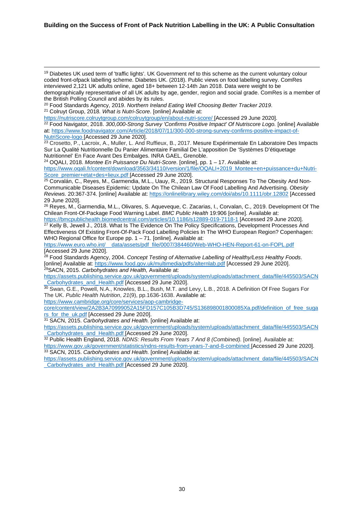#### **Building on the Success of Front of Pack Nutrition Labelling in the UK: A Public Consultation**

<sup>19</sup> Diabetes UK used term of 'traffic lights'. UK Government ref to this scheme as the current voluntary colour coded front-ofpack labelling scheme. Diabetes UK. (2018). Public views on food labelling survey. ComRes interviewed 2,121 UK adults online, aged 18+ between 12-14th Jan 2018. Data were weight to be demographically representative of all UK adults by age, gender, region and social grade. ComRes is a member of the British Polling Council and abides by its rules.

<sup>20</sup> Food Standards Agency, 2019. *Northern Ireland Eating Well Choosing Better Tracker 2019*. <sup>21</sup> Colruyt Group, 2018*. What is Nutri-Score*. [online] Available at:

<https://nutriscore.colruytgroup.com/colruytgroup/en/about-nutri-score/> [Accessed 29 June 2020]. <sup>22</sup> Food Navigator, 2018. *[300,000-Strong Survey 'Confirms Positive Impact' Of Nutriscore Logo.](https://www.foodnavigator.com/Article/2018/07/11/300-000-strong-survey-confirms-positive-impact-of-NutriScore-logo?utm_source=copyright&utm_medium=OnSite&utm_campaign=copyright)* [online] Available at[: https://www.foodnavigator.com/Article/2018/07/11/300-000-strong-survey-confirms-positive-impact-of-](https://www.foodnavigator.com/Article/2018/07/11/300-000-strong-survey-confirms-positive-impact-of-NutriScore-logo)[NutriScore-logo](https://www.foodnavigator.com/Article/2018/07/11/300-000-strong-survey-confirms-positive-impact-of-NutriScore-logo) [Accessed 29 June 2020].

<sup>23</sup> Crosetto, P., Lacroix, A., Muller, L. And Ruffieux, B., 2017. Mesure Expérimentale En Laboratoire Des Impacts Sur La Qualité Nutritionnelle Du Panier Alimentaire Familial De L'apposition De 'Systèmes D'étiquetage

Nutritionnel' En Face Avant Des Embalges. INRA GAEL, Grenoble. 24 OQALI, 2018. *Montee En Puissance Du Nutri-Score*. [online], pp. 1 – 17. Available at: [https://www.oqali.fr/content/download/3563/34110/version/1/file/OQALI+2019\\_Montee+en+puissance+du+Nutri-](https://www.oqali.fr/content/download/3563/34110/version/1/file/OQALI+2019_Montee+en+puissance+du+Nutri-Score_premier+etat+des+lieux.pdf)[Score\\_premier+etat+des+lieux.pdf](https://www.oqali.fr/content/download/3563/34110/version/1/file/OQALI+2019_Montee+en+puissance+du+Nutri-Score_premier+etat+des+lieux.pdf) [Accessed 29 June 2020].

<sup>25</sup> Corvalán, C., Reyes, M., Garmendia, M.L., Uauy, R., 2019. Structural Responses To The Obesity And Non‐ Communicable Diseases Epidemic: Update On The Chilean Law Of Food Labelling And Advertising. *Obesity Reviews.* 20:367-374. [online] Available at[: https://onlinelibrary.wiley.com/doi/abs/10.1111/obr.12802](https://onlinelibrary.wiley.com/doi/abs/10.1111/obr.12802) [Accessed 29 June 2020].

<sup>26</sup> Reyes, M., Garmendia, M.L., Olivares, S. Aqueveque, C. Zacarias, I., Corvalan, C*.,* 2019. Development Of The Chilean Front-Of-Package Food Warning Label. *BMC Public Health* 19:906 [online]. Available at:

<https://bmcpublichealth.biomedcentral.com/articles/10.1186/s12889-019-7118-1> [Accessed 29 June 2020]. <sup>27</sup> Kelly B, Jewell J., 2018. What Is The Evidence On The Policy Specifications, Development Processes And Effectiveness Of Existing Front-Of-Pack Food Labelling Policies In The WHO European Region? Copenhagen: WHO Regional Office for Europe pp. 1 – 71. [online]. Available at:

[https://www.euro.who.int/\\_\\_data/assets/pdf\\_file/0007/384460/Web-WHO-HEN-Report-61-on-FOPL.pdf](https://www.euro.who.int/__data/assets/pdf_file/0007/384460/Web-WHO-HEN-Report-61-on-FOPL.pdf) [Accessed 29 June 2020].

<sup>28</sup> Food Standards Agency, 2004. *Concept Testing of Alternative Labelling of Healthy/Less Healthy Foods*. [online] Available at:<https://www.food.gov.uk/multimedia/pdfs/alternlab.pdf> [Accessed 29 June 2020]. 29SACN, 2015. *Carbohydrates and Health,* Available at:

[https://assets.publishing.service.gov.uk/government/uploads/system/uploads/attachment\\_data/file/445503/SACN](https://assets.publishing.service.gov.uk/government/uploads/system/uploads/attachment_data/file/445503/SACN_Carbohydrates_and_Health.pdf) **Carbohydrates\_and\_Health.pdf [Accessed 29 June 2020].** 

<sup>30</sup> Swan, G.E., Powell, N.A., Knowles, B.L., Bush, M.T. and Levy, L.B., 2018. A Definition Of Free Sugars For The UK. *Public Health Nutrition*, *21*(9), pp.1636-1638. Available at:

[https://www.cambridge.org/core/services/aop-cambridge](https://www.cambridge.org/core/services/aop-cambridge-core/content/view/2A2B3A70999052A15FD157C105B3D745/S136898001800085Xa.pdf/definition_of_free_sugars_for_the_uk.pdf)[core/content/view/2A2B3A70999052A15FD157C105B3D745/S136898001800085Xa.pdf/definition\\_of\\_free\\_suga](https://www.cambridge.org/core/services/aop-cambridge-core/content/view/2A2B3A70999052A15FD157C105B3D745/S136898001800085Xa.pdf/definition_of_free_sugars_for_the_uk.pdf) [rs\\_for\\_the\\_uk.pdf](https://www.cambridge.org/core/services/aop-cambridge-core/content/view/2A2B3A70999052A15FD157C105B3D745/S136898001800085Xa.pdf/definition_of_free_sugars_for_the_uk.pdf) [Accessed 29 June 2020].

<sup>31</sup> SACN, 2015. *Carbohydrates and Health.* [online] Available at:

[https://assets.publishing.service.gov.uk/government/uploads/system/uploads/attachment\\_data/file/445503/SACN](https://assets.publishing.service.gov.uk/government/uploads/system/uploads/attachment_data/file/445503/SACN_Carbohydrates_and_Health.pdf) Carbohydrates\_and\_Health.pdf [Accessed 29 June 2020].

<sup>32</sup> Public Health England, 2018. *NDNS: Results From Years 7 And 8 (Combined).* [online]. Available at:

<https://www.gov.uk/government/statistics/ndns-results-from-years-7-and-8-combined> [Accessed 29 June 2020]. <sup>33</sup> SACN, 2015. *Carbohydrates and Health.* [online] Available at:

[https://assets.publishing.service.gov.uk/government/uploads/system/uploads/attachment\\_data/file/445503/SACN](https://assets.publishing.service.gov.uk/government/uploads/system/uploads/attachment_data/file/445503/SACN_Carbohydrates_and_Health.pdf) [\\_Carbohydrates\\_and\\_Health.pdf](https://assets.publishing.service.gov.uk/government/uploads/system/uploads/attachment_data/file/445503/SACN_Carbohydrates_and_Health.pdf) [Accessed 29 June 2020].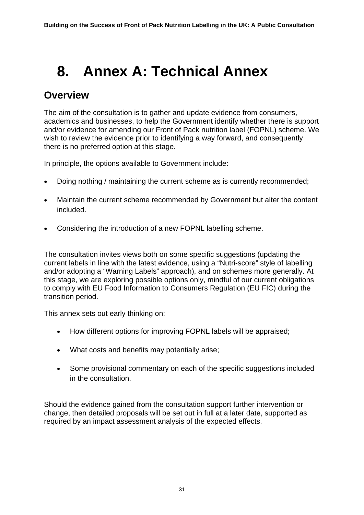# <span id="page-30-0"></span>**8. Annex A: Technical Annex**

# <span id="page-30-1"></span>**Overview**

The aim of the consultation is to gather and update evidence from consumers, academics and businesses, to help the Government identify whether there is support and/or evidence for amending our Front of Pack nutrition label (FOPNL) scheme. We wish to review the evidence prior to identifying a way forward, and consequently there is no preferred option at this stage.

In principle, the options available to Government include:

- Doing nothing / maintaining the current scheme as is currently recommended;
- Maintain the current scheme recommended by Government but alter the content included.
- Considering the introduction of a new FOPNL labelling scheme.

The consultation invites views both on some specific suggestions (updating the current labels in line with the latest evidence, using a "Nutri-score" style of labelling and/or adopting a "Warning Labels" approach), and on schemes more generally. At this stage, we are exploring possible options only, mindful of our current obligations to comply with EU Food Information to Consumers Regulation (EU FIC) during the transition period.

This annex sets out early thinking on:

- How different options for improving FOPNL labels will be appraised;
- What costs and benefits may potentially arise;
- Some provisional commentary on each of the specific suggestions included in the consultation.

Should the evidence gained from the consultation support further intervention or change, then detailed proposals will be set out in full at a later date, supported as required by an impact assessment analysis of the expected effects.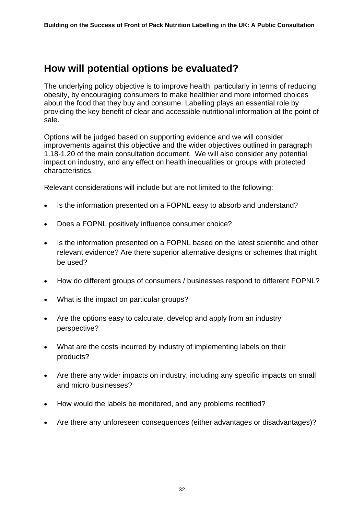# <span id="page-31-0"></span>**How will potential options be evaluated?**

The underlying policy objective is to improve health, particularly in terms of reducing obesity, by encouraging consumers to make healthier and more informed choices about the food that they buy and consume. Labelling plays an essential role by providing the key benefit of clear and accessible nutritional information at the point of sale.

Options will be judged based on supporting evidence and we will consider improvements against this objective and the wider objectives outlined in paragraph 1.18-1.20 of the main consultation document. We will also consider any potential impact on industry, and any effect on health inequalities or groups with protected characteristics.

Relevant considerations will include but are not limited to the following:

- Is the information presented on a FOPNL easy to absorb and understand?
- Does a FOPNL positively influence consumer choice?
- Is the information presented on a FOPNL based on the latest scientific and other relevant evidence? Are there superior alternative designs or schemes that might be used?
- How do different groups of consumers / businesses respond to different FOPNL?
- What is the impact on particular groups?
- Are the options easy to calculate, develop and apply from an industry perspective?
- What are the costs incurred by industry of implementing labels on their products?
- Are there any wider impacts on industry, including any specific impacts on small and micro businesses?
- How would the labels be monitored, and any problems rectified?
- Are there any unforeseen consequences (either advantages or disadvantages)?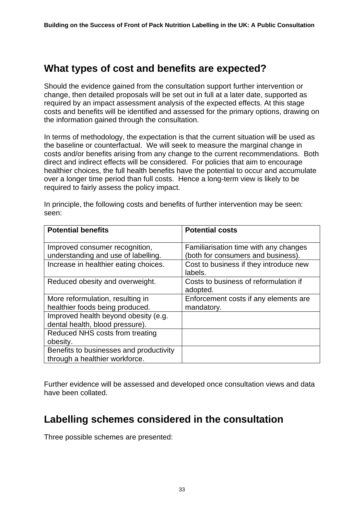## <span id="page-32-0"></span>**What types of cost and benefits are expected?**

Should the evidence gained from the consultation support further intervention or change, then detailed proposals will be set out in full at a later date, supported as required by an impact assessment analysis of the expected effects. At this stage costs and benefits will be identified and assessed for the primary options, drawing on the information gained through the consultation.

In terms of methodology, the expectation is that the current situation will be used as the baseline or counterfactual. We will seek to measure the marginal change in costs and/or benefits arising from any change to the current recommendations. Both direct and indirect effects will be considered. For policies that aim to encourage healthier choices, the full health benefits have the potential to occur and accumulate over a longer time period than full costs. Hence a long-term view is likely to be required to fairly assess the policy impact.

| <b>Potential benefits</b>                                                 | <b>Potential costs</b>                                                      |
|---------------------------------------------------------------------------|-----------------------------------------------------------------------------|
| Improved consumer recognition,<br>understanding and use of labelling.     | Familiarisation time with any changes<br>(both for consumers and business). |
| Increase in healthier eating choices.                                     | Cost to business if they introduce new<br>labels.                           |
| Reduced obesity and overweight.                                           | Costs to business of reformulation if<br>adopted.                           |
| More reformulation, resulting in<br>healthier foods being produced.       | Enforcement costs if any elements are<br>mandatory.                         |
| Improved health beyond obesity (e.g.<br>dental health, blood pressure).   |                                                                             |
| Reduced NHS costs from treating<br>obesity.                               |                                                                             |
| Benefits to businesses and productivity<br>through a healthier workforce. |                                                                             |

In principle, the following costs and benefits of further intervention may be seen: seen:

Further evidence will be assessed and developed once consultation views and data have been collated.

# <span id="page-32-1"></span>**Labelling schemes considered in the consultation**

Three possible schemes are presented: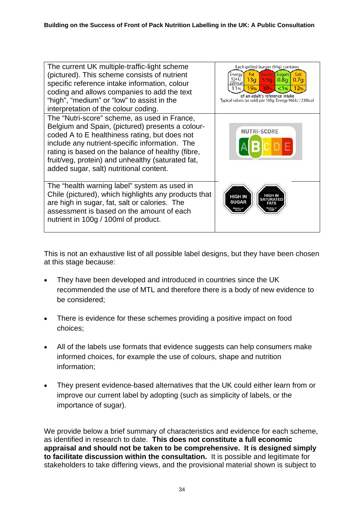| The current UK multiple-traffic-light scheme<br>(pictured). This scheme consists of nutrient<br>specific reference intake information, colour<br>coding and allows companies to add the text<br>"high", "medium" or "low" to assist in the<br>interpretation of the colour coding.                                                                       | Each grilled burger (94g) contains<br>Saturates <sup>T</sup> Sugars<br>Fat<br>Salt<br>Energy<br>924 <sub>kJ</sub><br>13q<br>5.9 <sub>a</sub><br>0.8 <sub>G</sub><br>0.7a<br>220 kcal<br>19%<br><b>30%</b><br>$\blacktriangle$ <1%<br>12%<br>l 1%<br>of an adult's reference intake<br>Typical values (as sold) per 100g: Energy 966kJ / 230kcal |
|----------------------------------------------------------------------------------------------------------------------------------------------------------------------------------------------------------------------------------------------------------------------------------------------------------------------------------------------------------|-------------------------------------------------------------------------------------------------------------------------------------------------------------------------------------------------------------------------------------------------------------------------------------------------------------------------------------------------|
| The "Nutri-score" scheme, as used in France,<br>Belgium and Spain, (pictured) presents a colour-<br>coded A to E healthiness rating, but does not<br>include any nutrient-specific information. The<br>rating is based on the balance of healthy (fibre,<br>fruit/veg, protein) and unhealthy (saturated fat,<br>added sugar, salt) nutritional content. | NUTRI-SCORE<br>Е                                                                                                                                                                                                                                                                                                                                |
| The "health warning label" system as used in<br>Chile (pictured), which highlights any products that<br>are high in sugar, fat, salt or calories. The<br>assessment is based on the amount of each<br>nutrient in 100g / 100ml of product.                                                                                                               | <b>HIGH IN</b><br><b>HIGH IN</b><br>SATURATED<br><b>SUGAR</b><br><b>FATS</b><br>Ministry of<br>Health<br>linistry of<br>Health                                                                                                                                                                                                                  |

This is not an exhaustive list of all possible label designs, but they have been chosen at this stage because:

- They have been developed and introduced in countries since the UK recommended the use of MTL and therefore there is a body of new evidence to be considered;
- There is evidence for these schemes providing a positive impact on food choices;
- All of the labels use formats that evidence suggests can help consumers make informed choices, for example the use of colours, shape and nutrition information;
- They present evidence-based alternatives that the UK could either learn from or improve our current label by adopting (such as simplicity of labels, or the importance of sugar).

We provide below a brief summary of characteristics and evidence for each scheme, as identified in research to date. **This does not constitute a full economic appraisal and should not be taken to be comprehensive. It is designed simply to facilitate discussion within the consultation.** It is possible and legitimate for stakeholders to take differing views, and the provisional material shown is subject to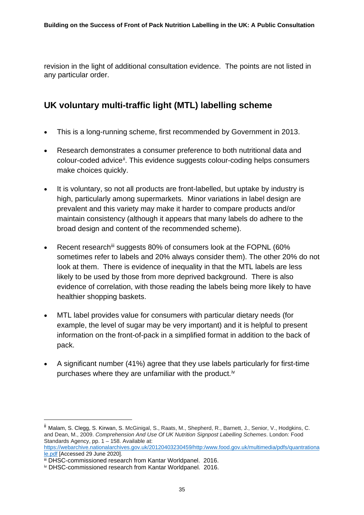revision in the light of additional consultation evidence. The points are not listed in any particular order.

## **UK voluntary multi-traffic light (MTL) labelling scheme**

- This is a long-running scheme, first recommended by Government in 2013.
- Research demonstrates a consumer preference to both nutritional data and colour-coded advice<sup>[ii](#page-34-0)</sup>. This evidence suggests colour-coding helps consumers make choices quickly.
- It is voluntary, so not all products are front-labelled, but uptake by industry is high, particularly among supermarkets. Minor variations in label design are prevalent and this variety may make it harder to compare products and/or maintain consistency (although it appears that many labels do adhere to the broad design and content of the recommended scheme).
- Recent research<sup>[iii](#page-34-1)</sup> suggests 80% of consumers look at the FOPNL (60% sometimes refer to labels and 20% always consider them). The other 20% do not look at them. There is evidence of inequality in that the MTL labels are less likely to be used by those from more deprived background. There is also evidence of correlation, with those reading the labels being more likely to have healthier shopping baskets.
- MTL label provides value for consumers with particular dietary needs (for example, the level of sugar may be very important) and it is helpful to present information on the front-of-pack in a simplified format in addition to the back of pack.
- A significant number (41%) agree that they use labels particularly for first-time purchases where they are unfamiliar with the product.<sup>[iv](#page-34-2)</sup>

<span id="page-34-0"></span>ii Malam, S. Clegg, S. Kirwan, S. McGinigal, S., Raats, M., Shepherd, R., Barnett, J., Senior, V., Hodgkins, C. and Dean, M., 2009. *Comprehension And Use Of UK Nutrition Signpost Labelling Schemes*. London: Food Standards Agency, pp. 1 – 158. Available at:

[https://webarchive.nationalarchives.gov.uk/20120403230459/http:/www.food.gov.uk/multimedia/pdfs/quantrationa](https://webarchive.nationalarchives.gov.uk/20120403230459/http:/www.food.gov.uk/multimedia/pdfs/quantrationale.pdf) [le.pdf](https://webarchive.nationalarchives.gov.uk/20120403230459/http:/www.food.gov.uk/multimedia/pdfs/quantrationale.pdf) [Accessed 29 June 2020].

<span id="page-34-1"></span>iii DHSC-commissioned research from Kantar Worldpanel. 2016.

<span id="page-34-2"></span>iv DHSC-commissioned research from Kantar Worldpanel. 2016.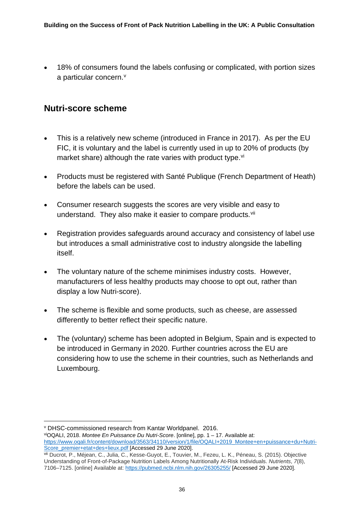• 18% of consumers found the labels confusing or complicated, with portion sizes a particular concern.<sup>[v](#page-35-0)</sup>

### **Nutri-score scheme**

- This is a relatively new scheme (introduced in France in 2017). As per the EU FIC, it is voluntary and the label is currently used in up to 20% of products (by market share) although the rate varies with product type.<sup>[vi](#page-35-1)</sup>
- Products must be registered with Santé Publique (French Department of Heath) before the labels can be used.
- Consumer research suggests the scores are very visible and easy to understand. They also make it easier to compare products.<sup>[vii](#page-35-2)</sup>
- Registration provides safeguards around accuracy and consistency of label use but introduces a small administrative cost to industry alongside the labelling itself.
- The voluntary nature of the scheme minimises industry costs. However, manufacturers of less healthy products may choose to opt out, rather than display a low Nutri-score).
- The scheme is flexible and some products, such as cheese, are assessed differently to better reflect their specific nature.
- The (voluntary) scheme has been adopted in Belgium, Spain and is expected to be introduced in Germany in 2020. Further countries across the EU are considering how to use the scheme in their countries, such as Netherlands and Luxembourg.

<span id="page-35-0"></span><sup>v</sup> DHSC-commissioned research from Kantar Worldpanel. 2016.

<span id="page-35-1"></span>viOQALI, 2018. *Montee En Puissance Du Nutri-Score*. [online], pp. 1 – 17. Available at: [https://www.oqali.fr/content/download/3563/34110/version/1/file/OQALI+2019\\_Montee+en+puissance+du+Nutri-](https://www.oqali.fr/content/download/3563/34110/version/1/file/OQALI+2019_Montee+en+puissance+du+Nutri-Score_premier+etat+des+lieux.pdf)[Score\\_premier+etat+des+lieux.pdf](https://www.oqali.fr/content/download/3563/34110/version/1/file/OQALI+2019_Montee+en+puissance+du+Nutri-Score_premier+etat+des+lieux.pdf) [Accessed 29 June 2020].

<span id="page-35-2"></span>vii Ducrot, P., Méjean, C., Julia, C., Kesse-Guyot, E., Touvier, M., Fezeu, L. K., Péneau, S. (2015). Objective Understanding of Front-of-Package Nutrition Labels Among Nutritionally At-Risk Individuals. *Nutrients*, *7*(8), 7106–7125. [online] Available at:<https://pubmed.ncbi.nlm.nih.gov/26305255/> [Accessed 29 June 2020].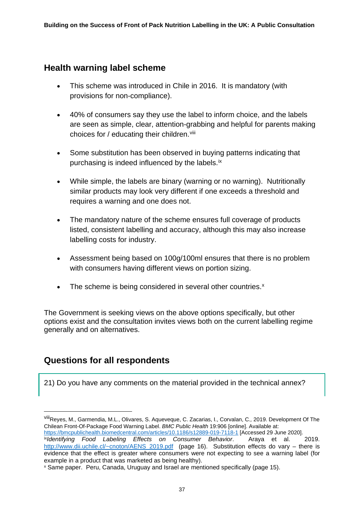### **Health warning label scheme**

- This scheme was introduced in Chile in 2016. It is mandatory (with provisions for non-compliance).
- 40% of consumers say they use the label to inform choice, and the labels are seen as simple, clear, attention-grabbing and helpful for parents making choices for  $/$  educating their children. Vili
- Some substitution has been observed in buying patterns indicating that purchasing is indeed influenced by the labels.<sup>[ix](#page-36-1)</sup>
- While simple, the labels are binary (warning or no warning). Nutritionally similar products may look very different if one exceeds a threshold and requires a warning and one does not.
- The mandatory nature of the scheme ensures full coverage of products listed, consistent labelling and accuracy, although this may also increase labelling costs for industry.
- Assessment being based on 100g/100ml ensures that there is no problem with consumers having different views on portion sizing.
- The scheme is being considered in several other countries.<sup>[x](#page-36-2)</sup>

The Government is seeking views on the above options specifically, but other options exist and the consultation invites views both on the current labelling regime generally and on alternatives.

## **Questions for all respondents**

21) Do you have any comments on the material provided in the technical annex?

<span id="page-36-0"></span>viiiReyes, M., Garmendia, M.L., Olivares, S. Aqueveque, C. Zacarias, I., Corvalan, C*.,* 2019. Development Of The Chilean Front-Of-Package Food Warning Label. *BMC Public Health* 19:906 [online]. Available at:

<https://bmcpublichealth.biomedcentral.com/articles/10.1186/s12889-019-7118-1> [Accessed 29 June 2020].

<span id="page-36-1"></span>ix*Identifying Food Labeling Effects on Consumer Behavior*. Araya et al. 2019. [http://www.dii.uchile.cl/~cnoton/AENS\\_2019.pdf](http://www.dii.uchile.cl/%7Ecnoton/AENS_2019.pdf) (page 16). Substitution effects do vary – there is evidence that the effect is greater where consumers were not expecting to see a warning label (for example in a product that was marketed as being healthy).

<span id="page-36-2"></span><sup>x</sup> Same paper. Peru, Canada, Uruguay and Israel are mentioned specifically (page 15).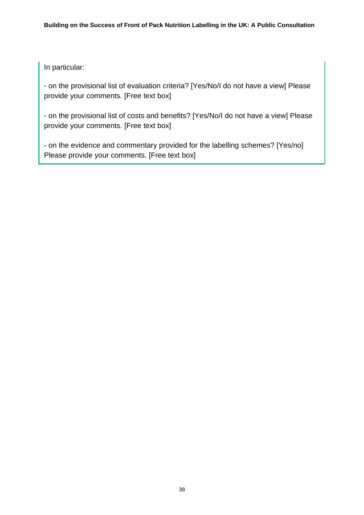In particular:

- on the provisional list of evaluation criteria? [Yes/No/I do not have a view] Please provide your comments. [Free text box]

- on the provisional list of costs and benefits? [Yes/No/I do not have a view] Please provide your comments. [Free text box]

- on the evidence and commentary provided for the labelling schemes? [Yes/no] Please provide your comments. [Free text box]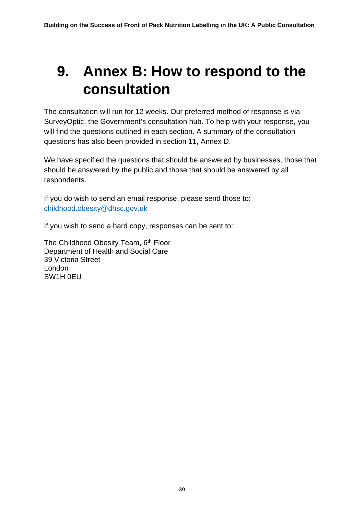# <span id="page-38-0"></span>**9. Annex B: How to respond to the consultation**

The consultation will run for 12 weeks. Our preferred method of response is via SurveyOptic, the Government's consultation hub. To help with your response, you will find the questions outlined in each section. A summary of the consultation questions has also been provided in section 11, Annex D.

We have specified the questions that should be answered by businesses, those that should be answered by the public and those that should be answered by all respondents.

If you do wish to send an email response, please send those to: [childhood.obesity@dhsc.gov.uk](mailto:childhood.obesity@dhsc.gov.uk)

If you wish to send a hard copy, responses can be sent to:

The Childhood Obesity Team, 6<sup>th</sup> Floor Department of Health and Social Care 39 Victoria Street London SW1H 0EU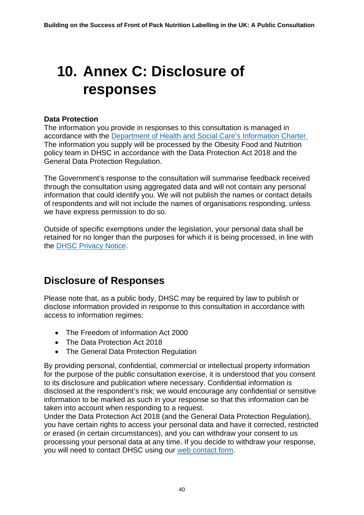# <span id="page-39-0"></span>**10. Annex C: Disclosure of responses**

### **Data Protection**

The information you provide in responses to this consultation is managed in accordance with the [Department of Health and Social Care's Information Charter.](https://www.gov.uk/government/organisations/department-of-health-and-social-care/about/personal-information-charter) The information you supply will be processed by the Obesity Food and Nutrition policy team in DHSC in accordance with the Data Protection Act 2018 and the General Data Protection Regulation.

The Government's response to the consultation will summarise feedback received through the consultation using aggregated data and will not contain any personal information that could identify you. We will not publish the names or contact details of respondents and will not include the names of organisations responding, unless we have express permission to do so.

Outside of specific exemptions under the legislation, your personal data shall be retained for no longer than the purposes for which it is being processed, in line with the [DHSC Privacy Notice.](https://assets.publishing.service.gov.uk/government/uploads/system/uploads/attachment_data/file/800049/Privacy_Notice_v2_.pdf)

# <span id="page-39-1"></span>**Disclosure of Responses**

Please note that, as a public body, DHSC may be required by law to publish or disclose information provided in response to this consultation in accordance with access to information regimes:

- The Freedom of Information Act 2000
- The Data Protection Act 2018
- The General Data Protection Regulation

By providing personal, confidential, commercial or intellectual property information for the purpose of the public consultation exercise, it is understood that you consent to its disclosure and publication where necessary. Confidential information is disclosed at the respondent's risk; we would encourage any confidential or sensitive information to be marked as such in your response so that this information can be taken into account when responding to a request.

Under the Data Protection Act 2018 (and the General Data Protection Regulation), you have certain rights to access your personal data and have it corrected, restricted or erased (in certain circumstances), and you can withdraw your consent to us processing your personal data at any time. If you decide to withdraw your response, you will need to contact DHSC using our [web contact form.](https://contactus.dhsc.gov.uk/?openform)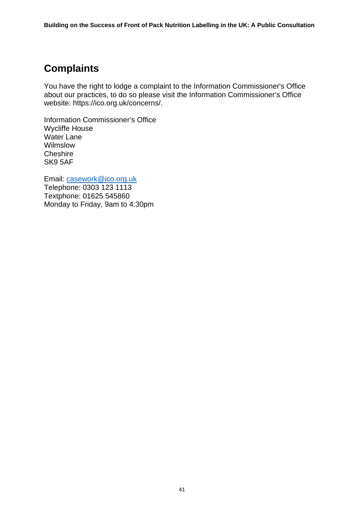# <span id="page-40-0"></span>**Complaints**

You have the right to lodge a complaint to the Information Commissioner's Office about our practices, to do so please visit the Information Commissioner's Office website: https://ico.org.uk/concerns/.

Information Commissioner's Office Wycliffe House Water Lane Wilmslow **Cheshire** SK9 5AF

Email: [casework@ico.org.uk](mailto:casework@ico.org.uk) Telephone: 0303 123 1113 Textphone: 01625 545860 Monday to Friday, 9am to 4:30pm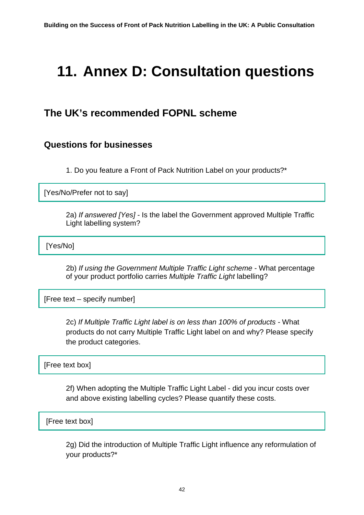# <span id="page-41-0"></span>**11. Annex D: Consultation questions**

# <span id="page-41-1"></span>**The UK's recommended FOPNL scheme**

### **Questions for businesses**

1. Do you feature a Front of Pack Nutrition Label on your products?\*

[Yes/No/Prefer not to say]

2a) *If answered [Yes]* - Is the label the Government approved Multiple Traffic Light labelling system?

[Yes/No]

2b) *If using the Government Multiple Traffic Light scheme* - What percentage of your product portfolio carries *Multiple Traffic Light* labelling?

[Free text – specify number]

2c) *If Multiple Traffic Light label is on less than 100% of products -* What products do not carry Multiple Traffic Light label on and why? Please specify the product categories.

[Free text box]

2f) When adopting the Multiple Traffic Light Label - did you incur costs over and above existing labelling cycles? Please quantify these costs.

[Free text box]

2g) Did the introduction of Multiple Traffic Light influence any reformulation of your products?\*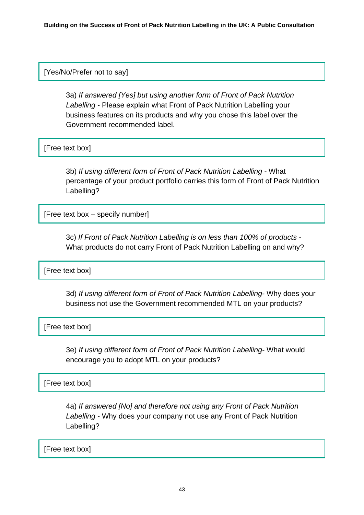### [Yes/No/Prefer not to say]

3a) *If answered [Yes] but using another form of Front of Pack Nutrition Labelling* - Please explain what Front of Pack Nutrition Labelling your business features on its products and why you chose this label over the Government recommended label.

[Free text box]

3b) *If using different form of Front of Pack Nutrition Labelling -* What percentage of your product portfolio carries this form of Front of Pack Nutrition Labelling?

[Free text box – specify number]

3c) *If Front of Pack Nutrition Labelling is on less than 100% of products -* What products do not carry Front of Pack Nutrition Labelling on and why?

[Free text box]

3d) *If using different form of Front of Pack Nutrition Labelling*- Why does your business not use the Government recommended MTL on your products?

[Free text box]

3e) *If using different form of Front of Pack Nutrition Labelling*- What would encourage you to adopt MTL on your products?

[Free text box]

4a) *If answered [No] and therefore not using any Front of Pack Nutrition Labelling* - Why does your company not use any Front of Pack Nutrition Labelling?

[Free text box]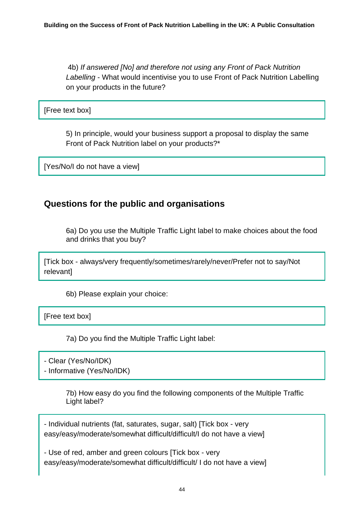4b) *If answered [No] and therefore not using any Front of Pack Nutrition Labelling* - What would incentivise you to use Front of Pack Nutrition Labelling on your products in the future?

[Free text box]

5) In principle, would your business support a proposal to display the same Front of Pack Nutrition label on your products?\*

[Yes/No/I do not have a view]

### **Questions for the public and organisations**

6a) Do you use the Multiple Traffic Light label to make choices about the food and drinks that you buy?

[Tick box - always/very frequently/sometimes/rarely/never/Prefer not to say/Not relevant]

6b) Please explain your choice:

[Free text box]

7a) Do you find the Multiple Traffic Light label:

- Clear (Yes/No/IDK)

- Informative (Yes/No/IDK)

7b) How easy do you find the following components of the Multiple Traffic Light label?

- Individual nutrients (fat, saturates, sugar, salt) [Tick box - very easy/easy/moderate/somewhat difficult/difficult/I do not have a view]

- Use of red, amber and green colours [Tick box - very easy/easy/moderate/somewhat difficult/difficult/ I do not have a view]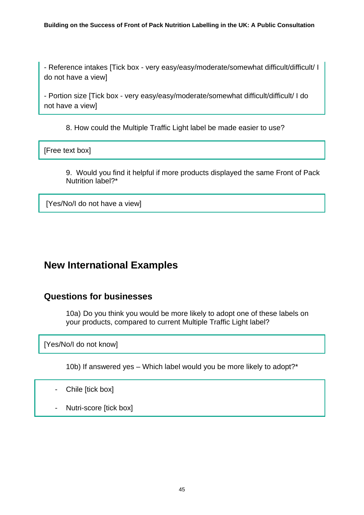- Reference intakes [Tick box - very easy/easy/moderate/somewhat difficult/difficult/ I do not have a view]

- Portion size [Tick box - very easy/easy/moderate/somewhat difficult/difficult/ I do not have a view]

8. How could the Multiple Traffic Light label be made easier to use?

[Free text box]

9. Would you find it helpful if more products displayed the same Front of Pack Nutrition label?\*

[Yes/No/I do not have a view]

# <span id="page-44-0"></span>**New International Examples**

### **Questions for businesses**

10a) Do you think you would be more likely to adopt one of these labels on your products, compared to current Multiple Traffic Light label?

[Yes/No/I do not know]

10b) If answered yes – Which label would you be more likely to adopt?\*

- Chile [tick box]
- Nutri-score [tick box]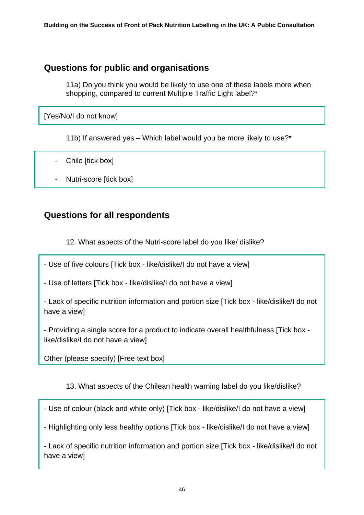## **Questions for public and organisations**

11a) Do you think you would be likely to use one of these labels more when shopping, compared to current Multiple Traffic Light label?\*

[Yes/No/I do not know]

11b) If answered yes – Which label would you be more likely to use?\*

- Chile [tick box]
- Nutri-score [tick box]

## **Questions for all respondents**

12. What aspects of the Nutri-score label do you like/ dislike?

- Use of five colours [Tick box - like/dislike/I do not have a view]

- Use of letters [Tick box - like/dislike/I do not have a view]

- Lack of specific nutrition information and portion size [Tick box - like/dislike/I do not have a view]

- Providing a single score for a product to indicate overall healthfulness [Tick box like/dislike/I do not have a view]

Other (please specify) [Free text box]

13. What aspects of the Chilean health warning label do you like/dislike?

- Use of colour (black and white only) [Tick box - like/dislike/I do not have a view]

- Highlighting only less healthy options [Tick box - like/dislike/I do not have a view]

- Lack of specific nutrition information and portion size [Tick box - like/dislike/I do not have a view]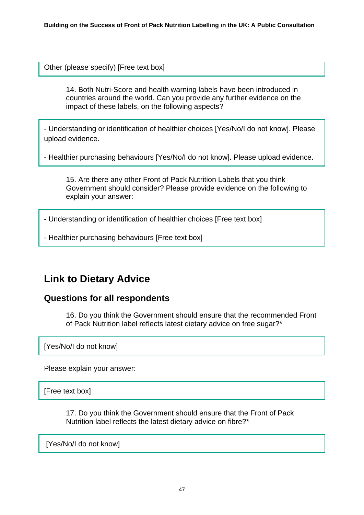Other (please specify) [Free text box]

14. Both Nutri-Score and health warning labels have been introduced in countries around the world. Can you provide any further evidence on the impact of these labels, on the following aspects?

- Understanding or identification of healthier choices [Yes/No/I do not know]. Please upload evidence.

- Healthier purchasing behaviours [Yes/No/I do not know]. Please upload evidence.

15. Are there any other Front of Pack Nutrition Labels that you think Government should consider? Please provide evidence on the following to explain your answer:

- Understanding or identification of healthier choices [Free text box]

- Healthier purchasing behaviours [Free text box]

## <span id="page-46-0"></span>**Link to Dietary Advice**

### **Questions for all respondents**

16. Do you think the Government should ensure that the recommended Front of Pack Nutrition label reflects latest dietary advice on free sugar?\*

[Yes/No/I do not know]

Please explain your answer:

[Free text box]

17. Do you think the Government should ensure that the Front of Pack Nutrition label reflects the latest dietary advice on fibre?\*

[Yes/No/I do not know]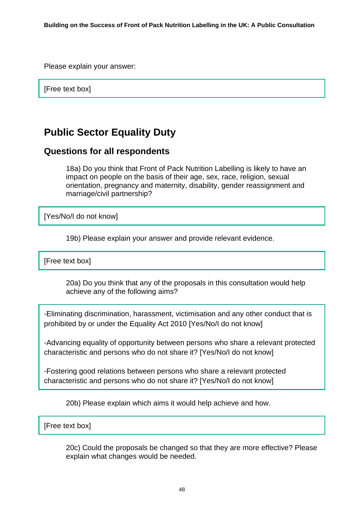Please explain your answer:

[Free text box]

# <span id="page-47-0"></span>**Public Sector Equality Duty**

### **Questions for all respondents**

18a) Do you think that Front of Pack Nutrition Labelling is likely to have an impact on people on the basis of their age, sex, race, religion, sexual orientation, pregnancy and maternity, disability, gender reassignment and marriage/civil partnership?

[Yes/No/I do not know]

19b) Please explain your answer and provide relevant evidence.

[Free text box]

20a) Do you think that any of the proposals in this consultation would help achieve any of the following aims?

-Eliminating discrimination, harassment, victimisation and any other conduct that is prohibited by or under the Equality Act 2010 [Yes/No/I do not know]

-Advancing equality of opportunity between persons who share a relevant protected characteristic and persons who do not share it? [Yes/No/I do not know]

-Fostering good relations between persons who share a relevant protected characteristic and persons who do not share it? [Yes/No/I do not know]

20b) Please explain which aims it would help achieve and how.

### [Free text box]

20c) Could the proposals be changed so that they are more effective? Please explain what changes would be needed.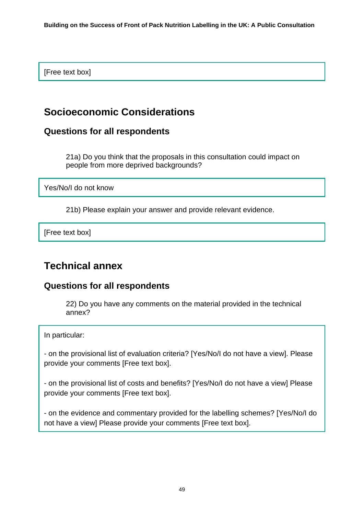[Free text box]

# <span id="page-48-0"></span>**Socioeconomic Considerations**

### **Questions for all respondents**

21a) Do you think that the proposals in this consultation could impact on people from more deprived backgrounds?

Yes/No/I do not know

21b) Please explain your answer and provide relevant evidence.

[Free text box]

# **Technical annex**

### **Questions for all respondents**

22) Do you have any comments on the material provided in the technical annex?

In particular:

- on the provisional list of evaluation criteria? [Yes/No/I do not have a view]. Please provide your comments [Free text box].

- on the provisional list of costs and benefits? [Yes/No/I do not have a view] Please provide your comments [Free text box].

- on the evidence and commentary provided for the labelling schemes? [Yes/No/I do not have a view] Please provide your comments [Free text box].